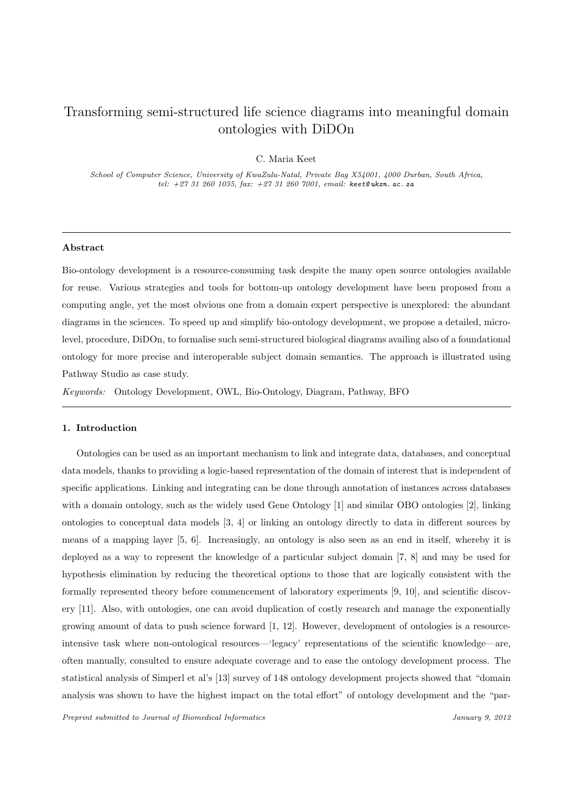# Transforming semi-structured life science diagrams into meaningful domain ontologies with DiDOn

C. Maria Keet

School of Computer Science, University of KwaZulu-Natal, Private Bag X54001, 4000 Durban, South Africa, tel: +27 31 260 1035, fax: +27 31 260 7001, email: keet@ ukzn. ac. za

# Abstract

Bio-ontology development is a resource-consuming task despite the many open source ontologies available for reuse. Various strategies and tools for bottom-up ontology development have been proposed from a computing angle, yet the most obvious one from a domain expert perspective is unexplored: the abundant diagrams in the sciences. To speed up and simplify bio-ontology development, we propose a detailed, microlevel, procedure, DiDOn, to formalise such semi-structured biological diagrams availing also of a foundational ontology for more precise and interoperable subject domain semantics. The approach is illustrated using Pathway Studio as case study.

Keywords: Ontology Development, OWL, Bio-Ontology, Diagram, Pathway, BFO

#### 1. Introduction

Ontologies can be used as an important mechanism to link and integrate data, databases, and conceptual data models, thanks to providing a logic-based representation of the domain of interest that is independent of specific applications. Linking and integrating can be done through annotation of instances across databases with a domain ontology, such as the widely used Gene Ontology [1] and similar OBO ontologies [2], linking ontologies to conceptual data models [3, 4] or linking an ontology directly to data in different sources by means of a mapping layer [5, 6]. Increasingly, an ontology is also seen as an end in itself, whereby it is deployed as a way to represent the knowledge of a particular subject domain [7, 8] and may be used for hypothesis elimination by reducing the theoretical options to those that are logically consistent with the formally represented theory before commencement of laboratory experiments [9, 10], and scientific discovery [11]. Also, with ontologies, one can avoid duplication of costly research and manage the exponentially growing amount of data to push science forward [1, 12]. However, development of ontologies is a resourceintensive task where non-ontological resources—'legacy' representations of the scientific knowledge—are, often manually, consulted to ensure adequate coverage and to ease the ontology development process. The statistical analysis of Simperl et al's [13] survey of 148 ontology development projects showed that "domain analysis was shown to have the highest impact on the total effort" of ontology development and the "par-

Preprint submitted to Journal of Biomedical Informatics January 9, 2012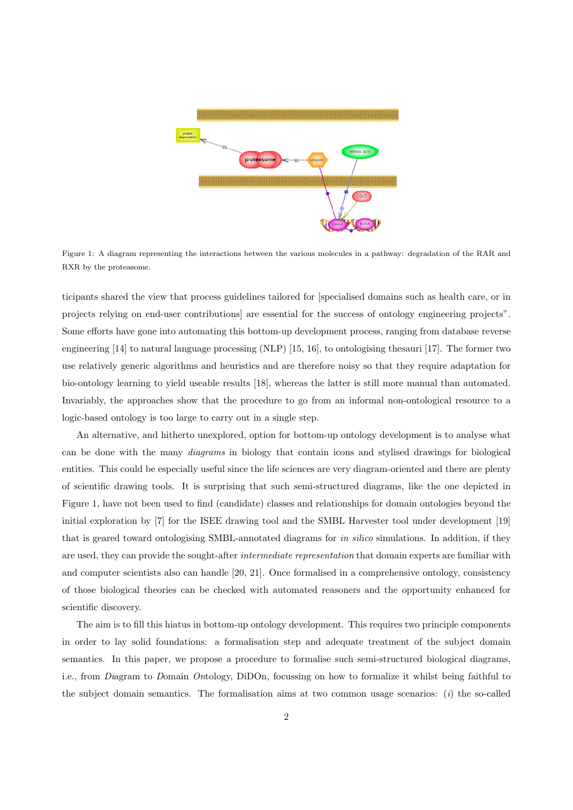

Figure 1: A diagram representing the interactions between the various molecules in a pathway: degradation of the RAR and RXR by the proteasome.

ticipants shared the view that process guidelines tailored for [specialised domains such as health care, or in projects relying on end-user contributions] are essential for the success of ontology engineering projects". Some efforts have gone into automating this bottom-up development process, ranging from database reverse engineering [14] to natural language processing (NLP) [15, 16], to ontologising thesauri [17]. The former two use relatively generic algorithms and heuristics and are therefore noisy so that they require adaptation for bio-ontology learning to yield useable results [18], whereas the latter is still more manual than automated. Invariably, the approaches show that the procedure to go from an informal non-ontological resource to a logic-based ontology is too large to carry out in a single step.

An alternative, and hitherto unexplored, option for bottom-up ontology development is to analyse what can be done with the many diagrams in biology that contain icons and stylised drawings for biological entities. This could be especially useful since the life sciences are very diagram-oriented and there are plenty of scientific drawing tools. It is surprising that such semi-structured diagrams, like the one depicted in Figure 1, have not been used to find (candidate) classes and relationships for domain ontologies beyond the initial exploration by [7] for the ISEE drawing tool and the SMBL Harvester tool under development [19] that is geared toward ontologising SMBL-annotated diagrams for in silico simulations. In addition, if they are used, they can provide the sought-after *intermediate representation* that domain experts are familiar with and computer scientists also can handle [20, 21]. Once formalised in a comprehensive ontology, consistency of those biological theories can be checked with automated reasoners and the opportunity enhanced for scientific discovery.

The aim is to fill this hiatus in bottom-up ontology development. This requires two principle components in order to lay solid foundations: a formalisation step and adequate treatment of the subject domain semantics. In this paper, we propose a procedure to formalise such semi-structured biological diagrams, i.e., from Diagram to Domain Ontology, DiDOn, focussing on how to formalize it whilst being faithful to the subject domain semantics. The formalisation aims at two common usage scenarios:  $(i)$  the so-called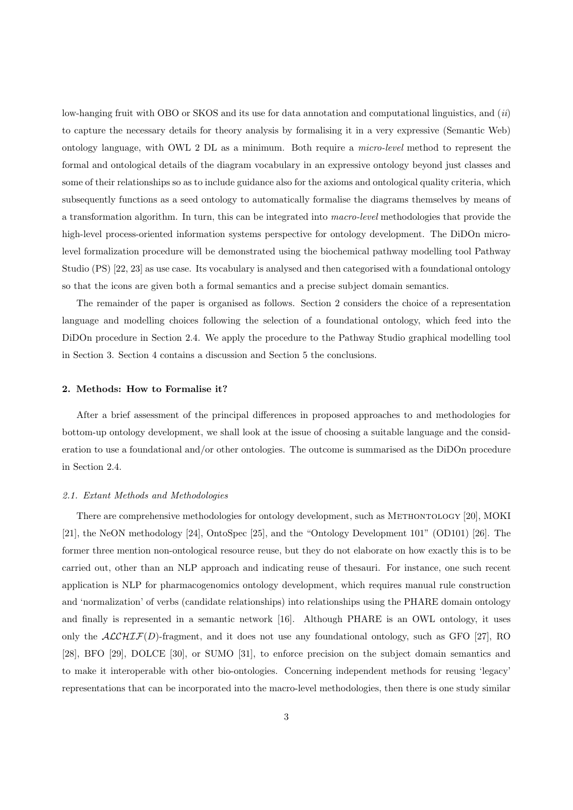low-hanging fruit with OBO or SKOS and its use for data annotation and computational linguistics, and  $(ii)$ to capture the necessary details for theory analysis by formalising it in a very expressive (Semantic Web) ontology language, with OWL 2 DL as a minimum. Both require a micro-level method to represent the formal and ontological details of the diagram vocabulary in an expressive ontology beyond just classes and some of their relationships so as to include guidance also for the axioms and ontological quality criteria, which subsequently functions as a seed ontology to automatically formalise the diagrams themselves by means of a transformation algorithm. In turn, this can be integrated into macro-level methodologies that provide the high-level process-oriented information systems perspective for ontology development. The DiDOn microlevel formalization procedure will be demonstrated using the biochemical pathway modelling tool Pathway Studio (PS) [22, 23] as use case. Its vocabulary is analysed and then categorised with a foundational ontology so that the icons are given both a formal semantics and a precise subject domain semantics.

The remainder of the paper is organised as follows. Section 2 considers the choice of a representation language and modelling choices following the selection of a foundational ontology, which feed into the DiDOn procedure in Section 2.4. We apply the procedure to the Pathway Studio graphical modelling tool in Section 3. Section 4 contains a discussion and Section 5 the conclusions.

#### 2. Methods: How to Formalise it?

After a brief assessment of the principal differences in proposed approaches to and methodologies for bottom-up ontology development, we shall look at the issue of choosing a suitable language and the consideration to use a foundational and/or other ontologies. The outcome is summarised as the DiDOn procedure in Section 2.4.

#### 2.1. Extant Methods and Methodologies

There are comprehensive methodologies for ontology development, such as Methontology [20], MOKI [21], the NeON methodology [24], OntoSpec [25], and the "Ontology Development 101" (OD101) [26]. The former three mention non-ontological resource reuse, but they do not elaborate on how exactly this is to be carried out, other than an NLP approach and indicating reuse of thesauri. For instance, one such recent application is NLP for pharmacogenomics ontology development, which requires manual rule construction and 'normalization' of verbs (candidate relationships) into relationships using the PHARE domain ontology and finally is represented in a semantic network [16]. Although PHARE is an OWL ontology, it uses only the  $ALCHIF(D)$ -fragment, and it does not use any foundational ontology, such as GFO [27], RO [28], BFO [29], DOLCE [30], or SUMO [31], to enforce precision on the subject domain semantics and to make it interoperable with other bio-ontologies. Concerning independent methods for reusing 'legacy' representations that can be incorporated into the macro-level methodologies, then there is one study similar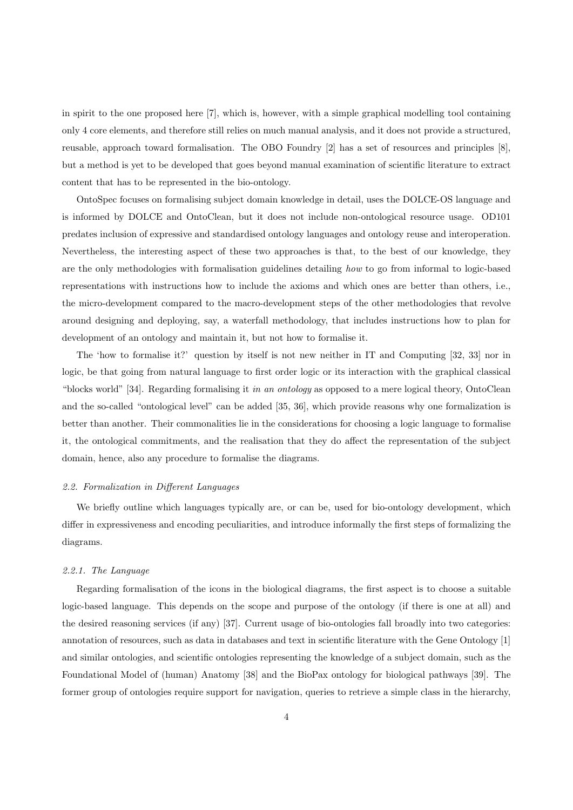in spirit to the one proposed here [7], which is, however, with a simple graphical modelling tool containing only 4 core elements, and therefore still relies on much manual analysis, and it does not provide a structured, reusable, approach toward formalisation. The OBO Foundry [2] has a set of resources and principles [8], but a method is yet to be developed that goes beyond manual examination of scientific literature to extract content that has to be represented in the bio-ontology.

OntoSpec focuses on formalising subject domain knowledge in detail, uses the DOLCE-OS language and is informed by DOLCE and OntoClean, but it does not include non-ontological resource usage. OD101 predates inclusion of expressive and standardised ontology languages and ontology reuse and interoperation. Nevertheless, the interesting aspect of these two approaches is that, to the best of our knowledge, they are the only methodologies with formalisation guidelines detailing how to go from informal to logic-based representations with instructions how to include the axioms and which ones are better than others, i.e., the micro-development compared to the macro-development steps of the other methodologies that revolve around designing and deploying, say, a waterfall methodology, that includes instructions how to plan for development of an ontology and maintain it, but not how to formalise it.

The 'how to formalise it?' question by itself is not new neither in IT and Computing [32, 33] nor in logic, be that going from natural language to first order logic or its interaction with the graphical classical "blocks world" [34]. Regarding formalising it in an ontology as opposed to a mere logical theory, OntoClean and the so-called "ontological level" can be added [35, 36], which provide reasons why one formalization is better than another. Their commonalities lie in the considerations for choosing a logic language to formalise it, the ontological commitments, and the realisation that they do affect the representation of the subject domain, hence, also any procedure to formalise the diagrams.

#### 2.2. Formalization in Different Languages

We briefly outline which languages typically are, or can be, used for bio-ontology development, which differ in expressiveness and encoding peculiarities, and introduce informally the first steps of formalizing the diagrams.

# 2.2.1. The Language

Regarding formalisation of the icons in the biological diagrams, the first aspect is to choose a suitable logic-based language. This depends on the scope and purpose of the ontology (if there is one at all) and the desired reasoning services (if any) [37]. Current usage of bio-ontologies fall broadly into two categories: annotation of resources, such as data in databases and text in scientific literature with the Gene Ontology [1] and similar ontologies, and scientific ontologies representing the knowledge of a subject domain, such as the Foundational Model of (human) Anatomy [38] and the BioPax ontology for biological pathways [39]. The former group of ontologies require support for navigation, queries to retrieve a simple class in the hierarchy,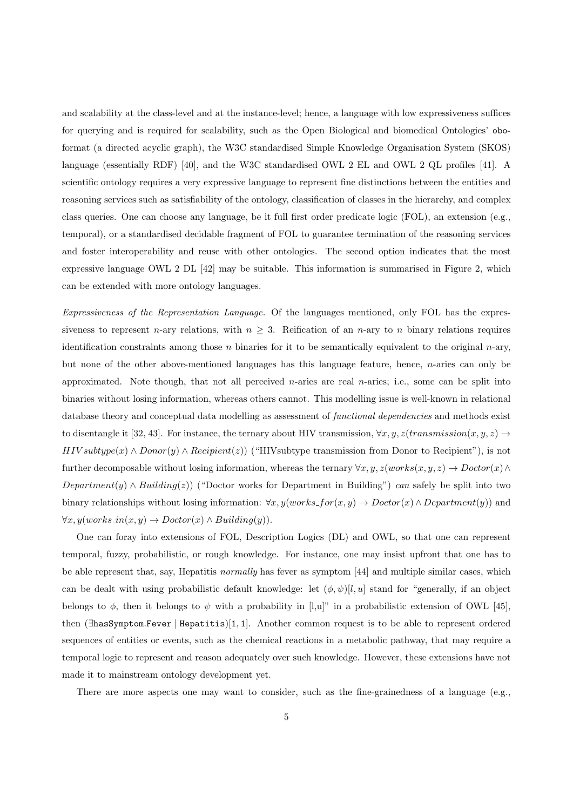and scalability at the class-level and at the instance-level; hence, a language with low expressiveness suffices for querying and is required for scalability, such as the Open Biological and biomedical Ontologies' oboformat (a directed acyclic graph), the W3C standardised Simple Knowledge Organisation System (SKOS) language (essentially RDF) [40], and the W3C standardised OWL 2 EL and OWL 2 QL profiles [41]. A scientific ontology requires a very expressive language to represent fine distinctions between the entities and reasoning services such as satisfiability of the ontology, classification of classes in the hierarchy, and complex class queries. One can choose any language, be it full first order predicate logic (FOL), an extension (e.g., temporal), or a standardised decidable fragment of FOL to guarantee termination of the reasoning services and foster interoperability and reuse with other ontologies. The second option indicates that the most expressive language OWL 2 DL [42] may be suitable. This information is summarised in Figure 2, which can be extended with more ontology languages.

Expressiveness of the Representation Language. Of the languages mentioned, only FOL has the expressiveness to represent n-ary relations, with  $n \geq 3$ . Reification of an n-ary to n binary relations requires identification constraints among those  $n$  binaries for it to be semantically equivalent to the original  $n$ -ary, but none of the other above-mentioned languages has this language feature, hence, n-aries can only be approximated. Note though, that not all perceived *n*-aries are real *n*-aries; i.e., some can be split into binaries without losing information, whereas others cannot. This modelling issue is well-known in relational database theory and conceptual data modelling as assessment of functional dependencies and methods exist to disentangle it [32, 43]. For instance, the ternary about HIV transmission,  $\forall x, y, z(transmission(x, y, z) \rightarrow$  $HIVsubtype(x) \wedge Donor(y) \wedge Recipient(z))$  ("HIVsubtype transmission from Donor to Recipient"), is not further decomposable without losing information, whereas the ternary  $\forall x, y, z(works(x, y, z) \rightarrow Doctor(x) \land$ Department(y) ∧ Building(z)) ("Doctor works for Department in Building") can safely be split into two binary relationships without losing information:  $\forall x, y(works\_for(x, y) \rightarrow Doctor(x) \land Department(y))$  and  $\forall x, y(works.in(x, y) \rightarrow Doctor(x) \land Building(y)).$ 

One can foray into extensions of FOL, Description Logics (DL) and OWL, so that one can represent temporal, fuzzy, probabilistic, or rough knowledge. For instance, one may insist upfront that one has to be able represent that, say, Hepatitis normally has fever as symptom [44] and multiple similar cases, which can be dealt with using probabilistic default knowledge: let  $(\phi, \psi)[l, u]$  stand for "generally, if an object belongs to  $\phi$ , then it belongs to  $\psi$  with a probability in [l,u]" in a probabilistic extension of OWL [45], then (∃hasSymptom.Fever | Hepatitis)[1, 1]. Another common request is to be able to represent ordered sequences of entities or events, such as the chemical reactions in a metabolic pathway, that may require a temporal logic to represent and reason adequately over such knowledge. However, these extensions have not made it to mainstream ontology development yet.

There are more aspects one may want to consider, such as the fine-grainedness of a language (e.g.,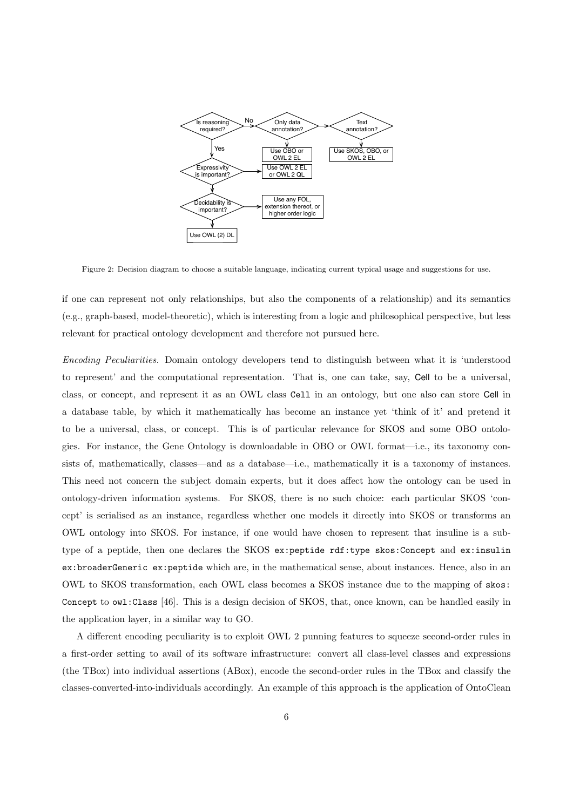

Figure 2: Decision diagram to choose a suitable language, indicating current typical usage and suggestions for use.

if one can represent not only relationships, but also the components of a relationship) and its semantics (e.g., graph-based, model-theoretic), which is interesting from a logic and philosophical perspective, but less relevant for practical ontology development and therefore not pursued here.

Encoding Peculiarities. Domain ontology developers tend to distinguish between what it is 'understood to represent' and the computational representation. That is, one can take, say, Cell to be a universal, class, or concept, and represent it as an OWL class Cell in an ontology, but one also can store Cell in a database table, by which it mathematically has become an instance yet 'think of it' and pretend it to be a universal, class, or concept. This is of particular relevance for SKOS and some OBO ontologies. For instance, the Gene Ontology is downloadable in OBO or OWL format—i.e., its taxonomy consists of, mathematically, classes—and as a database—i.e., mathematically it is a taxonomy of instances. This need not concern the subject domain experts, but it does affect how the ontology can be used in ontology-driven information systems. For SKOS, there is no such choice: each particular SKOS 'concept' is serialised as an instance, regardless whether one models it directly into SKOS or transforms an OWL ontology into SKOS. For instance, if one would have chosen to represent that insuline is a subtype of a peptide, then one declares the SKOS ex:peptide rdf:type skos:Concept and ex:insulin ex:broaderGeneric ex:peptide which are, in the mathematical sense, about instances. Hence, also in an OWL to SKOS transformation, each OWL class becomes a SKOS instance due to the mapping of skos: Concept to owl:Class [46]. This is a design decision of SKOS, that, once known, can be handled easily in the application layer, in a similar way to GO.

A different encoding peculiarity is to exploit OWL 2 punning features to squeeze second-order rules in a first-order setting to avail of its software infrastructure: convert all class-level classes and expressions (the TBox) into individual assertions (ABox), encode the second-order rules in the TBox and classify the classes-converted-into-individuals accordingly. An example of this approach is the application of OntoClean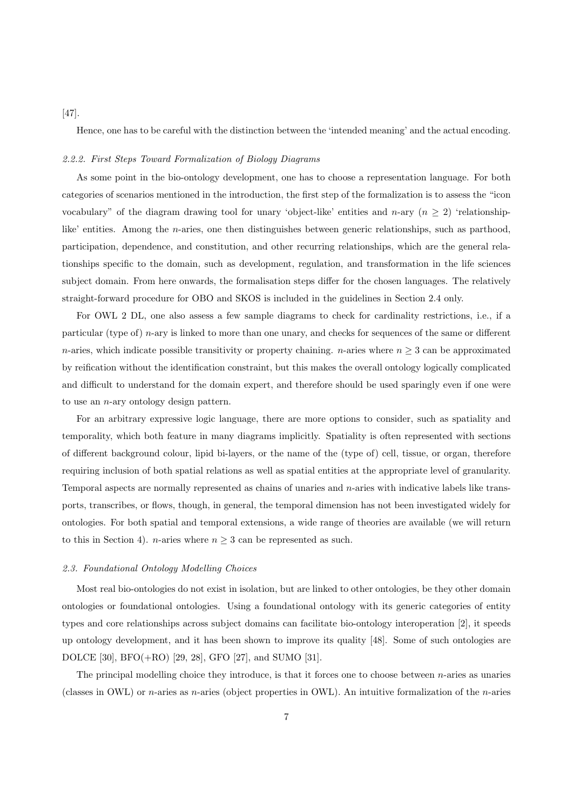[47].

Hence, one has to be careful with the distinction between the 'intended meaning' and the actual encoding.

#### 2.2.2. First Steps Toward Formalization of Biology Diagrams

As some point in the bio-ontology development, one has to choose a representation language. For both categories of scenarios mentioned in the introduction, the first step of the formalization is to assess the "icon vocabulary" of the diagram drawing tool for unary 'object-like' entities and n-ary ( $n \geq 2$ ) 'relationshiplike' entities. Among the *n*-aries, one then distinguishes between generic relationships, such as parthood, participation, dependence, and constitution, and other recurring relationships, which are the general relationships specific to the domain, such as development, regulation, and transformation in the life sciences subject domain. From here onwards, the formalisation steps differ for the chosen languages. The relatively straight-forward procedure for OBO and SKOS is included in the guidelines in Section 2.4 only.

For OWL 2 DL, one also assess a few sample diagrams to check for cardinality restrictions, i.e., if a particular (type of) n-ary is linked to more than one unary, and checks for sequences of the same or different n-aries, which indicate possible transitivity or property chaining. n-aries where  $n \geq 3$  can be approximated by reification without the identification constraint, but this makes the overall ontology logically complicated and difficult to understand for the domain expert, and therefore should be used sparingly even if one were to use an n-ary ontology design pattern.

For an arbitrary expressive logic language, there are more options to consider, such as spatiality and temporality, which both feature in many diagrams implicitly. Spatiality is often represented with sections of different background colour, lipid bi-layers, or the name of the (type of) cell, tissue, or organ, therefore requiring inclusion of both spatial relations as well as spatial entities at the appropriate level of granularity. Temporal aspects are normally represented as chains of unaries and n-aries with indicative labels like transports, transcribes, or flows, though, in general, the temporal dimension has not been investigated widely for ontologies. For both spatial and temporal extensions, a wide range of theories are available (we will return to this in Section 4). *n*-aries where  $n \geq 3$  can be represented as such.

#### 2.3. Foundational Ontology Modelling Choices

Most real bio-ontologies do not exist in isolation, but are linked to other ontologies, be they other domain ontologies or foundational ontologies. Using a foundational ontology with its generic categories of entity types and core relationships across subject domains can facilitate bio-ontology interoperation [2], it speeds up ontology development, and it has been shown to improve its quality [48]. Some of such ontologies are DOLCE [30], BFO(+RO) [29, 28], GFO [27], and SUMO [31].

The principal modelling choice they introduce, is that it forces one to choose between n-aries as unaries (classes in OWL) or *n*-aries as *n*-aries (object properties in OWL). An intuitive formalization of the *n*-aries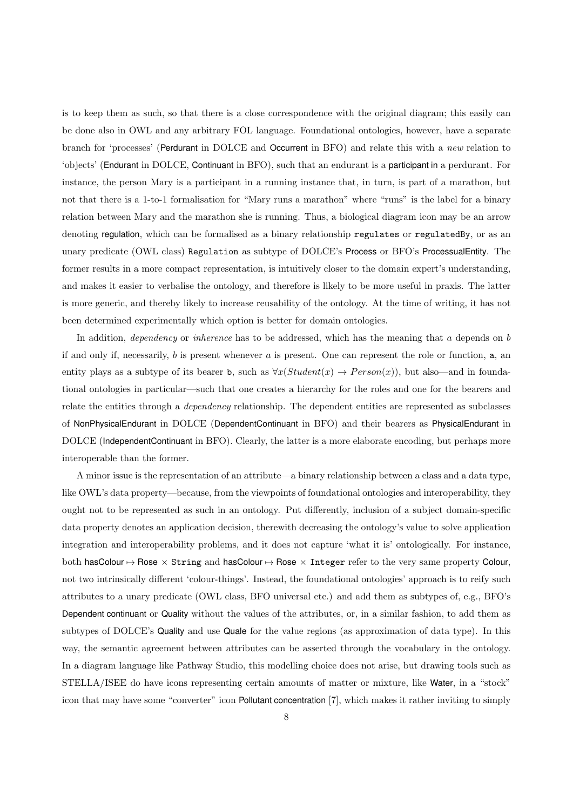is to keep them as such, so that there is a close correspondence with the original diagram; this easily can be done also in OWL and any arbitrary FOL language. Foundational ontologies, however, have a separate branch for 'processes' (Perdurant in DOLCE and Occurrent in BFO) and relate this with a new relation to 'objects' (Endurant in DOLCE, Continuant in BFO), such that an endurant is a participant in a perdurant. For instance, the person Mary is a participant in a running instance that, in turn, is part of a marathon, but not that there is a 1-to-1 formalisation for "Mary runs a marathon" where "runs" is the label for a binary relation between Mary and the marathon she is running. Thus, a biological diagram icon may be an arrow denoting regulation, which can be formalised as a binary relationship regulates or regulatedBy, or as an unary predicate (OWL class) Regulation as subtype of DOLCE's Process or BFO's ProcessualEntity. The former results in a more compact representation, is intuitively closer to the domain expert's understanding, and makes it easier to verbalise the ontology, and therefore is likely to be more useful in praxis. The latter is more generic, and thereby likely to increase reusability of the ontology. At the time of writing, it has not been determined experimentally which option is better for domain ontologies.

In addition, *dependency* or *inherence* has to be addressed, which has the meaning that a depends on b if and only if, necessarily,  $b$  is present whenever  $a$  is present. One can represent the role or function,  $a$ , an entity plays as a subtype of its bearer b, such as  $\forall x (Student(x) \rightarrow Person(x))$ , but also—and in foundational ontologies in particular—such that one creates a hierarchy for the roles and one for the bearers and relate the entities through a *dependency* relationship. The dependent entities are represented as subclasses of NonPhysicalEndurant in DOLCE (DependentContinuant in BFO) and their bearers as PhysicalEndurant in DOLCE (IndependentContinuant in BFO). Clearly, the latter is a more elaborate encoding, but perhaps more interoperable than the former.

A minor issue is the representation of an attribute—a binary relationship between a class and a data type, like OWL's data property—because, from the viewpoints of foundational ontologies and interoperability, they ought not to be represented as such in an ontology. Put differently, inclusion of a subject domain-specific data property denotes an application decision, therewith decreasing the ontology's value to solve application integration and interoperability problems, and it does not capture 'what it is' ontologically. For instance, both hasColour  $\mapsto$  Rose  $\times$  String and hasColour  $\mapsto$  Rose  $\times$  Integer refer to the very same property Colour, not two intrinsically different 'colour-things'. Instead, the foundational ontologies' approach is to reify such attributes to a unary predicate (OWL class, BFO universal etc.) and add them as subtypes of, e.g., BFO's Dependent continuant or Quality without the values of the attributes, or, in a similar fashion, to add them as subtypes of DOLCE's Quality and use Quale for the value regions (as approximation of data type). In this way, the semantic agreement between attributes can be asserted through the vocabulary in the ontology. In a diagram language like Pathway Studio, this modelling choice does not arise, but drawing tools such as STELLA/ISEE do have icons representing certain amounts of matter or mixture, like Water, in a "stock" icon that may have some "converter" icon Pollutant concentration [7], which makes it rather inviting to simply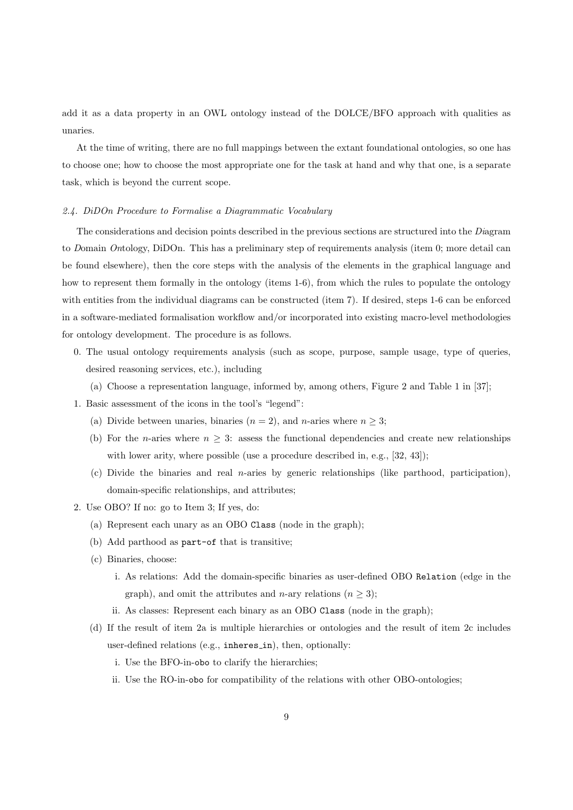add it as a data property in an OWL ontology instead of the DOLCE/BFO approach with qualities as unaries.

At the time of writing, there are no full mappings between the extant foundational ontologies, so one has to choose one; how to choose the most appropriate one for the task at hand and why that one, is a separate task, which is beyond the current scope.

#### 2.4. DiDOn Procedure to Formalise a Diagrammatic Vocabulary

The considerations and decision points described in the previous sections are structured into the Diagram to Domain Ontology, DiDOn. This has a preliminary step of requirements analysis (item 0; more detail can be found elsewhere), then the core steps with the analysis of the elements in the graphical language and how to represent them formally in the ontology (items 1-6), from which the rules to populate the ontology with entities from the individual diagrams can be constructed (item 7). If desired, steps 1-6 can be enforced in a software-mediated formalisation workflow and/or incorporated into existing macro-level methodologies for ontology development. The procedure is as follows.

0. The usual ontology requirements analysis (such as scope, purpose, sample usage, type of queries, desired reasoning services, etc.), including

(a) Choose a representation language, informed by, among others, Figure 2 and Table 1 in [37];

- 1. Basic assessment of the icons in the tool's "legend":
	- (a) Divide between unaries, binaries  $(n = 2)$ , and *n*-aries where  $n \geq 3$ ;
	- (b) For the *n*-aries where  $n \geq 3$ : assess the functional dependencies and create new relationships with lower arity, where possible (use a procedure described in, e.g.,  $[32, 43]$ );
	- (c) Divide the binaries and real n-aries by generic relationships (like parthood, participation), domain-specific relationships, and attributes;
- 2. Use OBO? If no: go to Item 3; If yes, do:
	- (a) Represent each unary as an OBO Class (node in the graph);
	- (b) Add parthood as part-of that is transitive;
	- (c) Binaries, choose:
		- i. As relations: Add the domain-specific binaries as user-defined OBO Relation (edge in the graph), and omit the attributes and n-ary relations  $(n \geq 3)$ ;
		- ii. As classes: Represent each binary as an OBO Class (node in the graph);
	- (d) If the result of item 2a is multiple hierarchies or ontologies and the result of item 2c includes user-defined relations (e.g., inheres\_in), then, optionally:
		- i. Use the BFO-in-obo to clarify the hierarchies;
		- ii. Use the RO-in-obo for compatibility of the relations with other OBO-ontologies;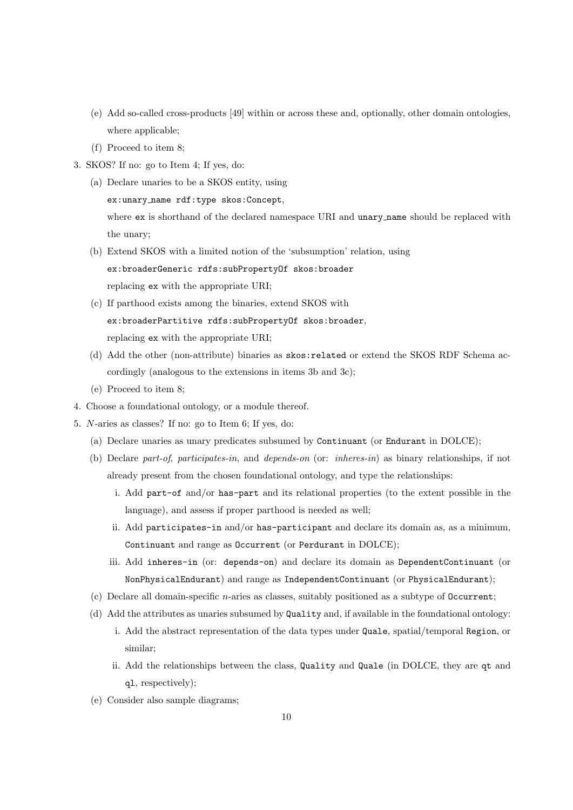- (e) Add so-called cross-products [49] within or across these and, optionally, other domain ontologies, where applicable;
- (f) Proceed to item 8;
- 3. SKOS? If no: go to Item 4; If yes, do:
	- (a) Declare unaries to be a SKOS entity, using ex:unary\_name rdf:type skos:Concept,

where ex is shorthand of the declared namespace URI and unary name should be replaced with the unary;

- (b) Extend SKOS with a limited notion of the 'subsumption' relation, using ex:broaderGeneric rdfs:subPropertyOf skos:broader
	- replacing ex with the appropriate URI;
- (c) If parthood exists among the binaries, extend SKOS with ex:broaderPartitive rdfs:subPropertyOf skos:broader, replacing ex with the appropriate URI;
- (d) Add the other (non-attribute) binaries as skos:related or extend the SKOS RDF Schema accordingly (analogous to the extensions in items 3b and 3c);
- (e) Proceed to item 8;
- 4. Choose a foundational ontology, or a module thereof.
- 5. N-aries as classes? If no: go to Item 6; If yes, do:
	- (a) Declare unaries as unary predicates subsumed by Continuant (or Endurant in DOLCE);
	- (b) Declare part-of, participates-in, and depends-on (or: inheres-in) as binary relationships, if not already present from the chosen foundational ontology, and type the relationships:
		- i. Add part-of and/or has-part and its relational properties (to the extent possible in the language), and assess if proper parthood is needed as well;
		- ii. Add participates-in and/or has-participant and declare its domain as, as a minimum, Continuant and range as Occurrent (or Perdurant in DOLCE);
		- iii. Add inheres-in (or: depends-on) and declare its domain as DependentContinuant (or NonPhysicalEndurant) and range as IndependentContinuant (or PhysicalEndurant);
	- (c) Declare all domain-specific *n*-aries as classes, suitably positioned as a subtype of  $0$ ccurrent;
	- (d) Add the attributes as unaries subsumed by Quality and, if available in the foundational ontology:
		- i. Add the abstract representation of the data types under Quale, spatial/temporal Region, or similar;
		- ii. Add the relationships between the class, Quality and Quale (in DOLCE, they are qt and ql, respectively);
	- (e) Consider also sample diagrams;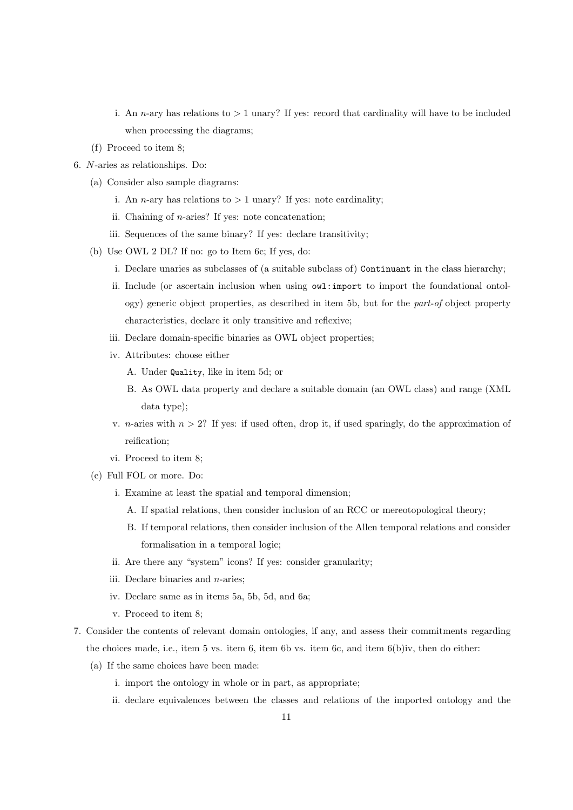- i. An n-ary has relations to  $>1$  unary? If yes: record that cardinality will have to be included when processing the diagrams;
- (f) Proceed to item 8;
- 6. N-aries as relationships. Do:
	- (a) Consider also sample diagrams:
		- i. An *n*-ary has relations to  $> 1$  unary? If yes: note cardinality;
		- ii. Chaining of n-aries? If yes: note concatenation;
		- iii. Sequences of the same binary? If yes: declare transitivity;
	- (b) Use OWL 2 DL? If no: go to Item 6c; If yes, do:
		- i. Declare unaries as subclasses of (a suitable subclass of) Continuant in the class hierarchy;
		- ii. Include (or ascertain inclusion when using owl:import to import the foundational ontology) generic object properties, as described in item 5b, but for the part-of object property characteristics, declare it only transitive and reflexive;
		- iii. Declare domain-specific binaries as OWL object properties;
		- iv. Attributes: choose either
			- A. Under Quality, like in item 5d; or
			- B. As OWL data property and declare a suitable domain (an OWL class) and range (XML data type);
		- v. *n*-aries with  $n > 2$ ? If yes: if used often, drop it, if used sparingly, do the approximation of reification;
		- vi. Proceed to item 8;
	- (c) Full FOL or more. Do:
		- i. Examine at least the spatial and temporal dimension;
			- A. If spatial relations, then consider inclusion of an RCC or mereotopological theory;
			- B. If temporal relations, then consider inclusion of the Allen temporal relations and consider formalisation in a temporal logic;
		- ii. Are there any "system" icons? If yes: consider granularity;
		- iii. Declare binaries and n-aries;
		- iv. Declare same as in items 5a, 5b, 5d, and 6a;
		- v. Proceed to item 8;
- 7. Consider the contents of relevant domain ontologies, if any, and assess their commitments regarding the choices made, i.e., item  $5$  vs. item  $6$ , item  $6$  vs. item  $6c$ , and item  $6(b)$ iv, then do either:
	- (a) If the same choices have been made:
		- i. import the ontology in whole or in part, as appropriate;
		- ii. declare equivalences between the classes and relations of the imported ontology and the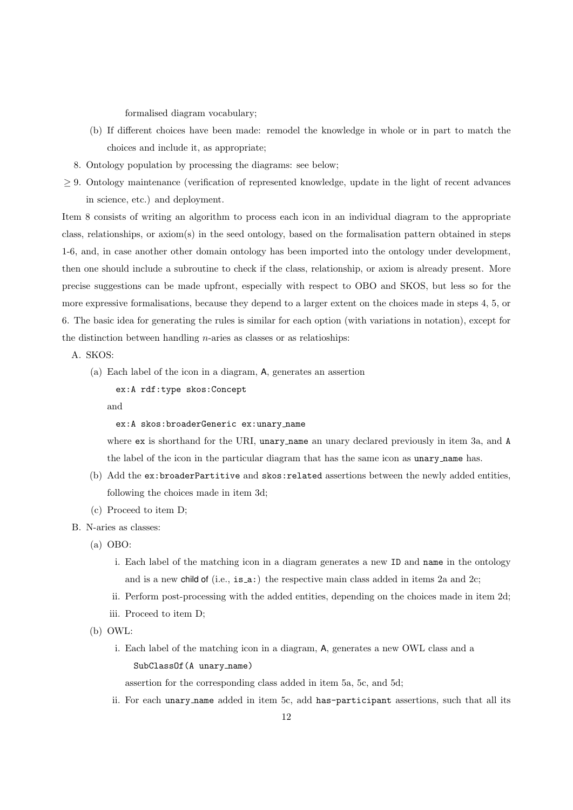formalised diagram vocabulary;

- (b) If different choices have been made: remodel the knowledge in whole or in part to match the choices and include it, as appropriate;
- 8. Ontology population by processing the diagrams: see below;
- $\geq$  9. Ontology maintenance (verification of represented knowledge, update in the light of recent advances in science, etc.) and deployment.

Item 8 consists of writing an algorithm to process each icon in an individual diagram to the appropriate class, relationships, or axiom(s) in the seed ontology, based on the formalisation pattern obtained in steps 1-6, and, in case another other domain ontology has been imported into the ontology under development, then one should include a subroutine to check if the class, relationship, or axiom is already present. More precise suggestions can be made upfront, especially with respect to OBO and SKOS, but less so for the more expressive formalisations, because they depend to a larger extent on the choices made in steps 4, 5, or 6. The basic idea for generating the rules is similar for each option (with variations in notation), except for the distinction between handling  $n$ -aries as classes or as relatioships:

# A. SKOS:

(a) Each label of the icon in a diagram, A, generates an assertion

ex:A rdf:type skos:Concept

and

### ex:A skos:broaderGeneric ex:unary name

where ex is shorthand for the URI, unary name an unary declared previously in item 3a, and A the label of the icon in the particular diagram that has the same icon as unary name has.

- (b) Add the ex:broaderPartitive and skos:related assertions between the newly added entities, following the choices made in item 3d;
- (c) Proceed to item D;

#### B. N-aries as classes:

- (a) OBO:
	- i. Each label of the matching icon in a diagram generates a new ID and name in the ontology and is a new child of  $(i.e., is=a:)$  the respective main class added in items 2a and 2c;
	- ii. Perform post-processing with the added entities, depending on the choices made in item 2d;
	- iii. Proceed to item D;
- (b) OWL:
	- i. Each label of the matching icon in a diagram, A, generates a new OWL class and a SubClassOf(A unary name)

assertion for the corresponding class added in item 5a, 5c, and 5d;

ii. For each unary name added in item 5c, add has-participant assertions, such that all its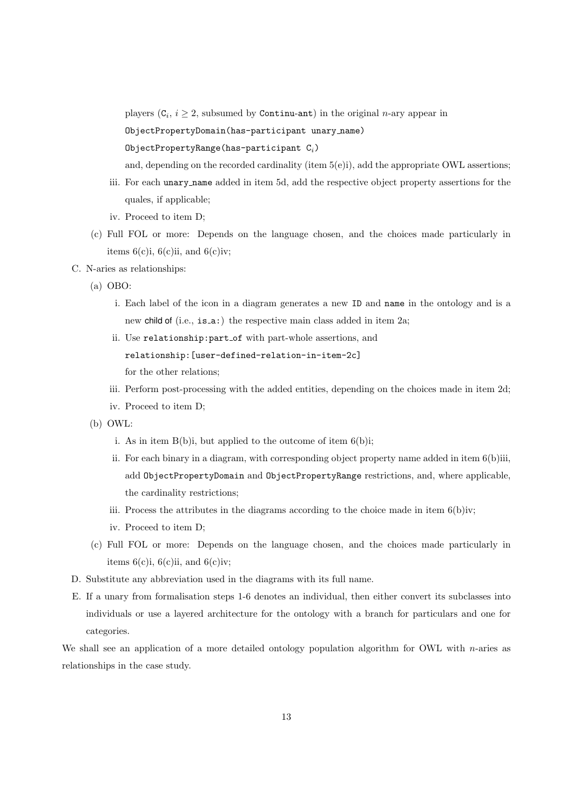players  $(C_i, i \geq 2$ , subsumed by Continu-ant) in the original *n*-ary appear in

ObjectPropertyDomain(has-participant unary name)

ObjectPropertyRange(has-participant  $C_i$ )

and, depending on the recorded cardinality (item 5(e)i), add the appropriate OWL assertions;

- iii. For each unary name added in item 5d, add the respective object property assertions for the quales, if applicable;
- iv. Proceed to item D;
- (c) Full FOL or more: Depends on the language chosen, and the choices made particularly in items  $6(c)i$ ,  $6(c)ii$ , and  $6(c)i$ v;
- C. N-aries as relationships:
	- (a) OBO:
		- i. Each label of the icon in a diagram generates a new ID and name in the ontology and is a new child of (i.e., is\_a:) the respective main class added in item 2a;
		- ii. Use relationship: part\_of with part-whole assertions, and relationship:[user-defined-relation-in-item-2c] for the other relations;
		- iii. Perform post-processing with the added entities, depending on the choices made in item 2d;
		- iv. Proceed to item D;
	- (b) OWL:
		- i. As in item B(b)i, but applied to the outcome of item 6(b)i;
		- ii. For each binary in a diagram, with corresponding object property name added in item 6(b)iii, add ObjectPropertyDomain and ObjectPropertyRange restrictions, and, where applicable, the cardinality restrictions;
		- iii. Process the attributes in the diagrams according to the choice made in item  $6(b)$ iv;
		- iv. Proceed to item D;
	- (c) Full FOL or more: Depends on the language chosen, and the choices made particularly in items  $6(c)i$ ,  $6(c)ii$ , and  $6(c)i$ v;
- D. Substitute any abbreviation used in the diagrams with its full name.
- E. If a unary from formalisation steps 1-6 denotes an individual, then either convert its subclasses into individuals or use a layered architecture for the ontology with a branch for particulars and one for categories.

We shall see an application of a more detailed ontology population algorithm for OWL with n-aries as relationships in the case study.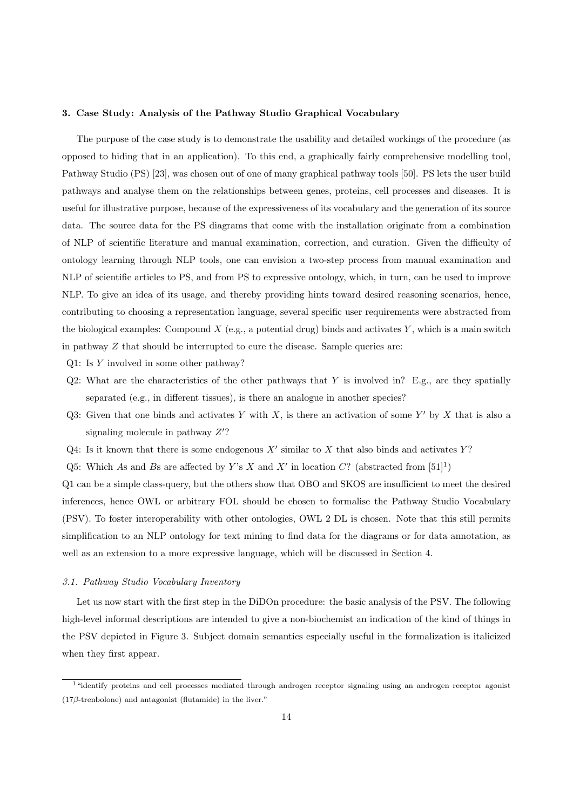#### 3. Case Study: Analysis of the Pathway Studio Graphical Vocabulary

The purpose of the case study is to demonstrate the usability and detailed workings of the procedure (as opposed to hiding that in an application). To this end, a graphically fairly comprehensive modelling tool, Pathway Studio (PS) [23], was chosen out of one of many graphical pathway tools [50]. PS lets the user build pathways and analyse them on the relationships between genes, proteins, cell processes and diseases. It is useful for illustrative purpose, because of the expressiveness of its vocabulary and the generation of its source data. The source data for the PS diagrams that come with the installation originate from a combination of NLP of scientific literature and manual examination, correction, and curation. Given the difficulty of ontology learning through NLP tools, one can envision a two-step process from manual examination and NLP of scientific articles to PS, and from PS to expressive ontology, which, in turn, can be used to improve NLP. To give an idea of its usage, and thereby providing hints toward desired reasoning scenarios, hence, contributing to choosing a representation language, several specific user requirements were abstracted from the biological examples: Compound  $X$  (e.g., a potential drug) binds and activates  $Y$ , which is a main switch in pathway Z that should be interrupted to cure the disease. Sample queries are:

- Q1: Is Y involved in some other pathway?
- $Q2$ : What are the characteristics of the other pathways that Y is involved in? E.g., are they spatially separated (e.g., in different tissues), is there an analogue in another species?
- Q3: Given that one binds and activates Y with X, is there an activation of some Y' by X that is also a signaling molecule in pathway  $Z$ ?
- Q4: Is it known that there is some endogenous  $X'$  similar to X that also binds and activates Y?
- Q5: Which As and Bs are affected by Y's X and X' in location C? (abstracted from  $[51]$ <sup>1</sup>)

Q1 can be a simple class-query, but the others show that OBO and SKOS are insufficient to meet the desired inferences, hence OWL or arbitrary FOL should be chosen to formalise the Pathway Studio Vocabulary (PSV). To foster interoperability with other ontologies, OWL 2 DL is chosen. Note that this still permits simplification to an NLP ontology for text mining to find data for the diagrams or for data annotation, as well as an extension to a more expressive language, which will be discussed in Section 4.

#### 3.1. Pathway Studio Vocabulary Inventory

Let us now start with the first step in the DiDOn procedure: the basic analysis of the PSV. The following high-level informal descriptions are intended to give a non-biochemist an indication of the kind of things in the PSV depicted in Figure 3. Subject domain semantics especially useful in the formalization is italicized when they first appear.

<sup>&</sup>lt;sup>1</sup> "identify proteins and cell processes mediated through androgen receptor signaling using an androgen receptor agonist (17β-trenbolone) and antagonist (flutamide) in the liver."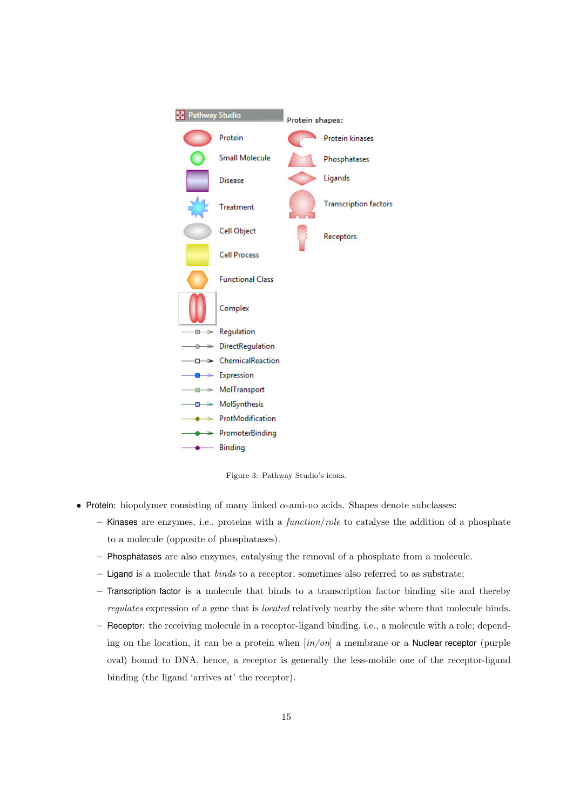

Figure 3: Pathway Studio's icons.

- Protein: biopolymer consisting of many linked  $\alpha$ -ami-no acids. Shapes denote subclasses:
	- $-$  Kinases are enzymes, i.e., proteins with a *function/role* to catalyse the addition of a phosphate to a molecule (opposite of phosphatases).
	- Phosphatases are also enzymes, catalysing the removal of a phosphate from a molecule.
	- Ligand is a molecule that binds to a receptor, sometimes also referred to as substrate;
	- Transcription factor is a molecule that binds to a transcription factor binding site and thereby regulates expression of a gene that is located relatively nearby the site where that molecule binds.
	- Receptor: the receiving molecule in a receptor-ligand binding, i.e., a molecule with a role; depending on the location, it can be a protein when  $[in/on]$  a membrane or a Nuclear receptor (purple oval) bound to DNA, hence, a receptor is generally the less-mobile one of the receptor-ligand binding (the ligand 'arrives at' the receptor).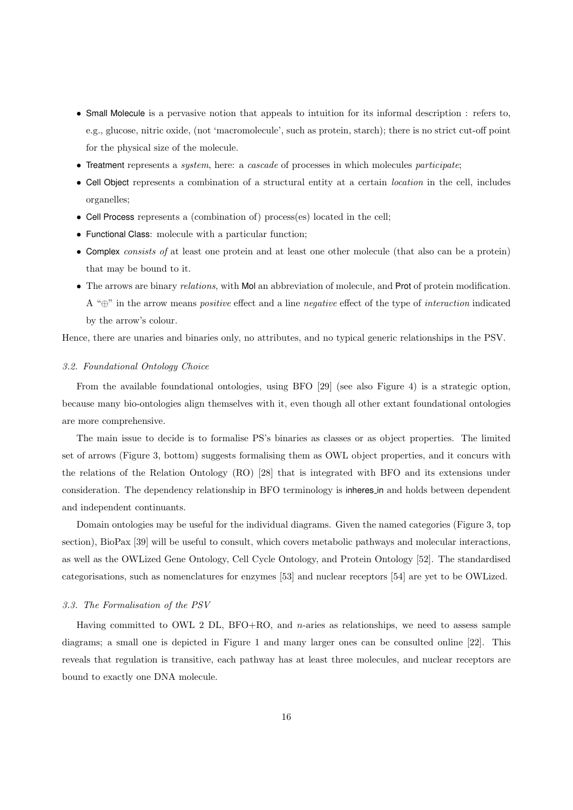- Small Molecule is a pervasive notion that appeals to intuition for its informal description : refers to, e.g., glucose, nitric oxide, (not 'macromolecule', such as protein, starch); there is no strict cut-off point for the physical size of the molecule.
- Treatment represents a *system*, here: a *cascade* of processes in which molecules *participate*;
- Cell Object represents a combination of a structural entity at a certain location in the cell, includes organelles;
- Cell Process represents a (combination of) process(es) located in the cell;
- Functional Class: molecule with a particular function;
- Complex consists of at least one protein and at least one other molecule (that also can be a protein) that may be bound to it.
- The arrows are binary *relations*, with Mol an abbreviation of molecule, and Prot of protein modification. A "⊕" in the arrow means positive effect and a line negative effect of the type of interaction indicated by the arrow's colour.

Hence, there are unaries and binaries only, no attributes, and no typical generic relationships in the PSV.

#### 3.2. Foundational Ontology Choice

From the available foundational ontologies, using BFO [29] (see also Figure 4) is a strategic option, because many bio-ontologies align themselves with it, even though all other extant foundational ontologies are more comprehensive.

The main issue to decide is to formalise PS's binaries as classes or as object properties. The limited set of arrows (Figure 3, bottom) suggests formalising them as OWL object properties, and it concurs with the relations of the Relation Ontology (RO) [28] that is integrated with BFO and its extensions under consideration. The dependency relationship in BFO terminology is inheres in and holds between dependent and independent continuants.

Domain ontologies may be useful for the individual diagrams. Given the named categories (Figure 3, top section), BioPax [39] will be useful to consult, which covers metabolic pathways and molecular interactions, as well as the OWLized Gene Ontology, Cell Cycle Ontology, and Protein Ontology [52]. The standardised categorisations, such as nomenclatures for enzymes [53] and nuclear receptors [54] are yet to be OWLized.

### 3.3. The Formalisation of the PSV

Having committed to OWL 2 DL, BFO+RO, and n-aries as relationships, we need to assess sample diagrams; a small one is depicted in Figure 1 and many larger ones can be consulted online [22]. This reveals that regulation is transitive, each pathway has at least three molecules, and nuclear receptors are bound to exactly one DNA molecule.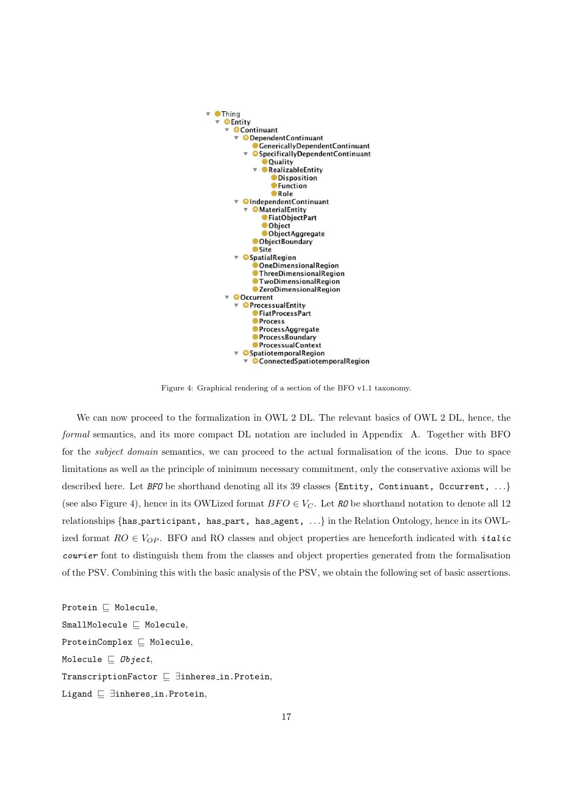

Figure 4: Graphical rendering of a section of the BFO v1.1 taxonomy.

We can now proceed to the formalization in OWL 2 DL. The relevant basics of OWL 2 DL, hence, the formal semantics, and its more compact DL notation are included in Appendix A. Together with BFO for the subject domain semantics, we can proceed to the actual formalisation of the icons. Due to space limitations as well as the principle of minimum necessary commitment, only the conservative axioms will be described here. Let BFO be shorthand denoting all its 39 classes {Entity, Continuant, Occurrent, ...} (see also Figure 4), hence in its OWLized format  $BFO \in V_C$ . Let RO be shorthand notation to denote all 12 relationships {has\_participant, has\_part, has\_agent, ...} in the Relation Ontology, hence in its OWLized format  $RO \in V_{OP}$ . BFO and RO classes and object properties are henceforth indicated with *italic* courier font to distinguish them from the classes and object properties generated from the formalisation of the PSV. Combining this with the basic analysis of the PSV, we obtain the following set of basic assertions.

Protein  $\Box$  Molecule, SmallMolecule  $\sqsubseteq$  Molecule, ProteinComplex  $\sqsubseteq$  Molecule, Molecule  $\Box$  *Object*, TranscriptionFactor  $\sqsubseteq$  ∃inheres\_in.Protein, Ligand  $\Box$  ∃inheres\_in.Protein,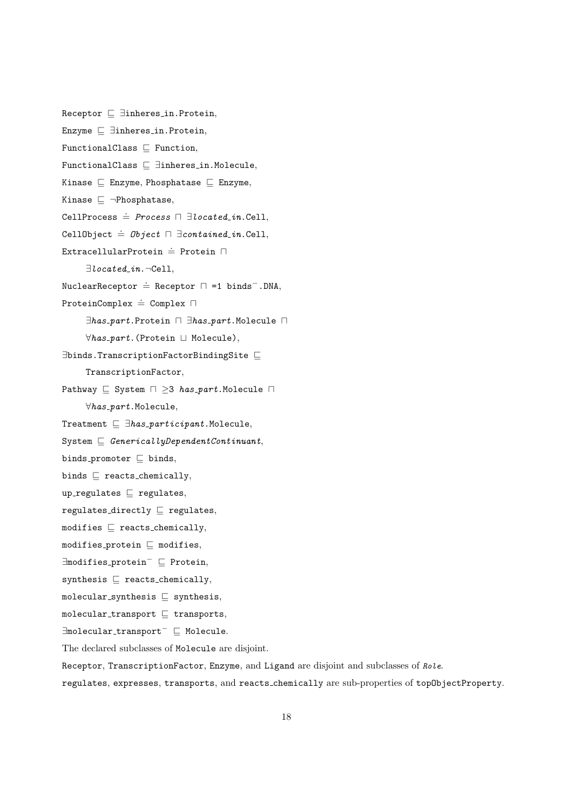```
Receptor \Box ∃inheres_in.Protein,
```

```
Enzyme \Box ∃inheres_in.Protein,
```

```
FunctionalClass \Box Function,
```
FunctionalClass  $\Box$  ∃inheres\_in.Molecule,

Kinase  $\sqsubseteq$  Enzyme, Phosphatase  $\sqsubseteq$  Enzyme,

Kinase  $\sqsubseteq \neg$ Phosphatase,

CellProcess  $\dot{=}$  Process  $\Box$   $\exists$ located\_in.Cell,

```
CellObject \dot{=} Object \Box \exists contained_in.Cell,
```

```
ExtracellularProtein \stackrel{.}{=} Protein \Box
```
 $\exists$ *located\_in*. $\neg$ Cell.

NuclearReceptor  $\dot{=}$  Receptor  $\Box$  =1 binds<sup>-</sup>.DNA,

```
ProteinComplex \doteq Complex \sqcap
```

```
∃has_part.Protein \Box ∃has_part.Molecule \Box
```

```
\forallhas_part.(Protein \Box Molecule),
```

```
∃binds.TranscriptionFactorBindingSite v
```
TranscriptionFactor,

```
Pathway \subseteq System \Box \geq3 has part.Molecule \Box
```
 $\forall$ has\_part.Molecule,

Treatment  $\sqsubseteq$   $\exists$ has\_participant.Molecule,

```
System \sqsubseteq GenericallyDependentContinuant,
```

```
binds_promoter \sqsubseteq binds,
```

```
binds \sqsubseteq reacts_chemically,
```

```
up_regulates \sqsubseteq regulates,
```

```
regulates_directly \sqsubseteq regulates,
```

```
modifies \sqsubseteq reacts{\_}chemically,
```

```
modifies\_protein \sqsubseteq modifies,
```

```
∃modifies_protein<sup>-</sup> \sqsubseteq Protein,
```

```
synthesis \sqsubseteq reacts_chemically,
```

```
molecular_synthesis \Box synthesis,
```

```
molecular_transform \sqsubseteq transports,
```
∃molecular\_transport<sup>-</sup>  $\sqsubseteq$  Molecule.

The declared subclasses of Molecule are disjoint.

Receptor, TranscriptionFactor, Enzyme, and Ligand are disjoint and subclasses of Role.

regulates, expresses, transports, and reacts chemically are sub-properties of topObjectProperty.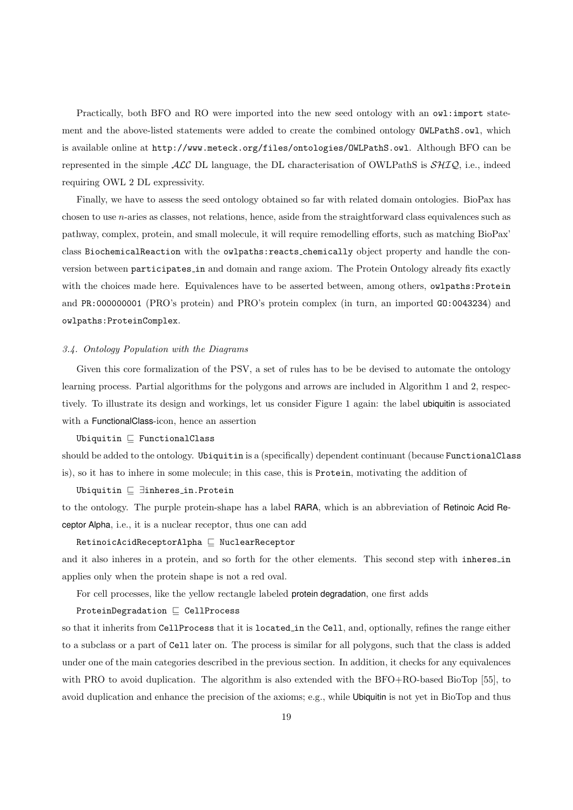Practically, both BFO and RO were imported into the new seed ontology with an owl:import statement and the above-listed statements were added to create the combined ontology OWLPathS.owl, which is available online at http://www.meteck.org/files/ontologies/OWLPathS.owl. Although BFO can be represented in the simple ALC DL language, the DL characterisation of OWLPathS is  $\mathcal{SHIO}$ , i.e., indeed requiring OWL 2 DL expressivity.

Finally, we have to assess the seed ontology obtained so far with related domain ontologies. BioPax has chosen to use n-aries as classes, not relations, hence, aside from the straightforward class equivalences such as pathway, complex, protein, and small molecule, it will require remodelling efforts, such as matching BioPax' class BiochemicalReaction with the owlpaths:reacts chemically object property and handle the conversion between participates in and domain and range axiom. The Protein Ontology already fits exactly with the choices made here. Equivalences have to be asserted between, among others, owlpaths: Protein and PR:000000001 (PRO's protein) and PRO's protein complex (in turn, an imported GO:0043234) and owlpaths:ProteinComplex.

#### 3.4. Ontology Population with the Diagrams

Given this core formalization of the PSV, a set of rules has to be be devised to automate the ontology learning process. Partial algorithms for the polygons and arrows are included in Algorithm 1 and 2, respectively. To illustrate its design and workings, let us consider Figure 1 again: the label ubiquitin is associated with a FunctionalClass-icon, hence an assertion

#### Ubiquitin  $\sqsubseteq$  FunctionalClass

should be added to the ontology. Ubiquitin is a (specifically) dependent continuant (because FunctionalClass is), so it has to inhere in some molecule; in this case, this is Protein, motivating the addition of

# Ubiquitin  $□$  ∃inheres\_in.Protein

to the ontology. The purple protein-shape has a label RARA, which is an abbreviation of Retinoic Acid Receptor Alpha, i.e., it is a nuclear receptor, thus one can add

#### $RetinoicAcidReceptorAlpha \subseteq NuclearReceptor$

and it also inheres in a protein, and so forth for the other elements. This second step with inheres in applies only when the protein shape is not a red oval.

For cell processes, like the yellow rectangle labeled protein degradation, one first adds

#### ProteinDegradation  $\sqsubseteq$  CellProcess

so that it inherits from CellProcess that it is located in the Cell, and, optionally, refines the range either to a subclass or a part of Cell later on. The process is similar for all polygons, such that the class is added under one of the main categories described in the previous section. In addition, it checks for any equivalences with PRO to avoid duplication. The algorithm is also extended with the BFO+RO-based BioTop [55], to avoid duplication and enhance the precision of the axioms; e.g., while Ubiquitin is not yet in BioTop and thus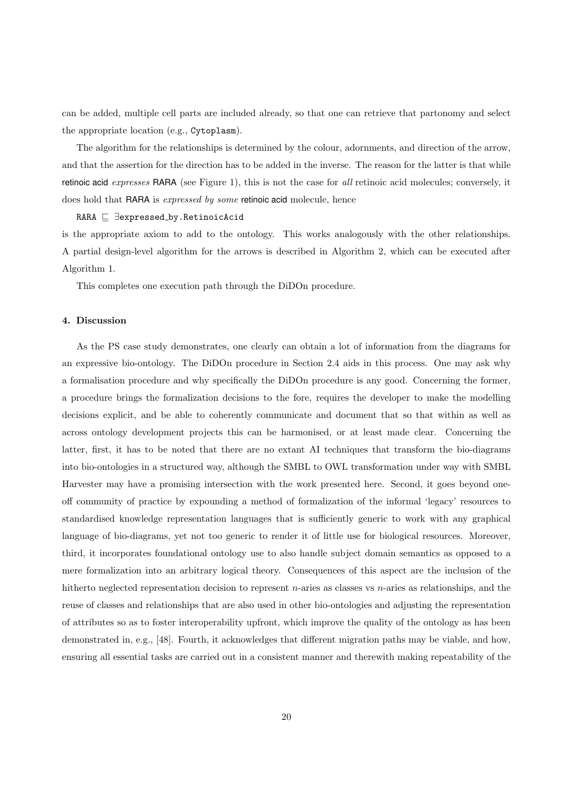can be added, multiple cell parts are included already, so that one can retrieve that partonomy and select the appropriate location (e.g., Cytoplasm).

The algorithm for the relationships is determined by the colour, adornments, and direction of the arrow, and that the assertion for the direction has to be added in the inverse. The reason for the latter is that while retinoic acid *expresses* RARA (see Figure 1), this is not the case for all retinoic acid molecules; conversely, it does hold that RARA is *expressed by some* retinoic acid molecule, hence

RARA  $\sqsubseteq$  ∃expressed\_by.RetinoicAcid

is the appropriate axiom to add to the ontology. This works analogously with the other relationships. A partial design-level algorithm for the arrows is described in Algorithm 2, which can be executed after Algorithm 1.

This completes one execution path through the DiDOn procedure.

#### 4. Discussion

As the PS case study demonstrates, one clearly can obtain a lot of information from the diagrams for an expressive bio-ontology. The DiDOn procedure in Section 2.4 aids in this process. One may ask why a formalisation procedure and why specifically the DiDOn procedure is any good. Concerning the former, a procedure brings the formalization decisions to the fore, requires the developer to make the modelling decisions explicit, and be able to coherently communicate and document that so that within as well as across ontology development projects this can be harmonised, or at least made clear. Concerning the latter, first, it has to be noted that there are no extant AI techniques that transform the bio-diagrams into bio-ontologies in a structured way, although the SMBL to OWL transformation under way with SMBL Harvester may have a promising intersection with the work presented here. Second, it goes beyond oneoff community of practice by expounding a method of formalization of the informal 'legacy' resources to standardised knowledge representation languages that is sufficiently generic to work with any graphical language of bio-diagrams, yet not too generic to render it of little use for biological resources. Moreover, third, it incorporates foundational ontology use to also handle subject domain semantics as opposed to a mere formalization into an arbitrary logical theory. Consequences of this aspect are the inclusion of the hitherto neglected representation decision to represent  $n$ -aries as classes vs  $n$ -aries as relationships, and the reuse of classes and relationships that are also used in other bio-ontologies and adjusting the representation of attributes so as to foster interoperability upfront, which improve the quality of the ontology as has been demonstrated in, e.g., [48]. Fourth, it acknowledges that different migration paths may be viable, and how, ensuring all essential tasks are carried out in a consistent manner and therewith making repeatability of the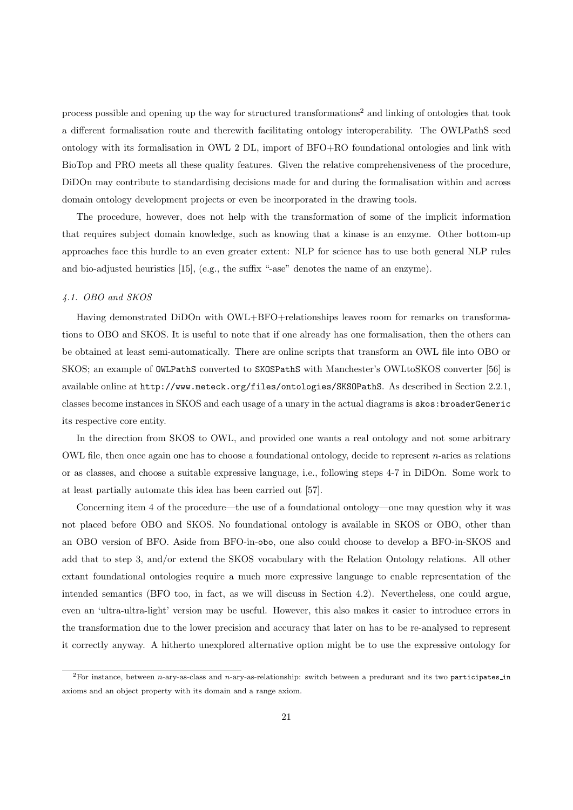process possible and opening up the way for structured transformations<sup>2</sup> and linking of ontologies that took a different formalisation route and therewith facilitating ontology interoperability. The OWLPathS seed ontology with its formalisation in OWL 2 DL, import of BFO+RO foundational ontologies and link with BioTop and PRO meets all these quality features. Given the relative comprehensiveness of the procedure, DiDOn may contribute to standardising decisions made for and during the formalisation within and across domain ontology development projects or even be incorporated in the drawing tools.

The procedure, however, does not help with the transformation of some of the implicit information that requires subject domain knowledge, such as knowing that a kinase is an enzyme. Other bottom-up approaches face this hurdle to an even greater extent: NLP for science has to use both general NLP rules and bio-adjusted heuristics [15], (e.g., the suffix "-ase" denotes the name of an enzyme).

#### 4.1. OBO and SKOS

Having demonstrated DiDOn with OWL+BFO+relationships leaves room for remarks on transformations to OBO and SKOS. It is useful to note that if one already has one formalisation, then the others can be obtained at least semi-automatically. There are online scripts that transform an OWL file into OBO or SKOS; an example of OWLPathS converted to SKOSPathS with Manchester's OWLtoSKOS converter [56] is available online at http://www.meteck.org/files/ontologies/SKSOPathS. As described in Section 2.2.1, classes become instances in SKOS and each usage of a unary in the actual diagrams is skos:broaderGeneric its respective core entity.

In the direction from SKOS to OWL, and provided one wants a real ontology and not some arbitrary OWL file, then once again one has to choose a foundational ontology, decide to represent  $n$ -aries as relations or as classes, and choose a suitable expressive language, i.e., following steps 4-7 in DiDOn. Some work to at least partially automate this idea has been carried out [57].

Concerning item 4 of the procedure—the use of a foundational ontology—one may question why it was not placed before OBO and SKOS. No foundational ontology is available in SKOS or OBO, other than an OBO version of BFO. Aside from BFO-in-obo, one also could choose to develop a BFO-in-SKOS and add that to step 3, and/or extend the SKOS vocabulary with the Relation Ontology relations. All other extant foundational ontologies require a much more expressive language to enable representation of the intended semantics (BFO too, in fact, as we will discuss in Section 4.2). Nevertheless, one could argue, even an 'ultra-ultra-light' version may be useful. However, this also makes it easier to introduce errors in the transformation due to the lower precision and accuracy that later on has to be re-analysed to represent it correctly anyway. A hitherto unexplored alternative option might be to use the expressive ontology for

<sup>&</sup>lt;sup>2</sup>For instance, between *n*-ary-as-class and *n*-ary-as-relationship: switch between a predurant and its two participates in axioms and an object property with its domain and a range axiom.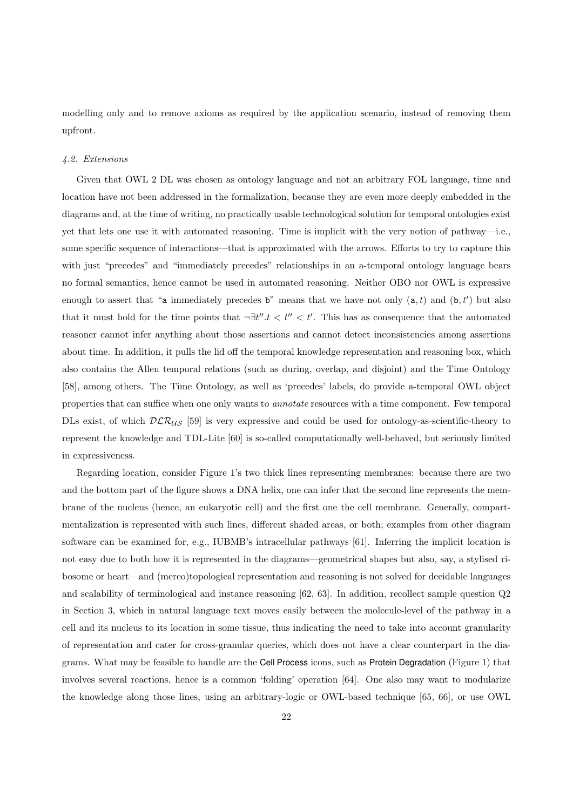modelling only and to remove axioms as required by the application scenario, instead of removing them upfront.

#### 4.2. Extensions

Given that OWL 2 DL was chosen as ontology language and not an arbitrary FOL language, time and location have not been addressed in the formalization, because they are even more deeply embedded in the diagrams and, at the time of writing, no practically usable technological solution for temporal ontologies exist yet that lets one use it with automated reasoning. Time is implicit with the very notion of pathway—i.e., some specific sequence of interactions—that is approximated with the arrows. Efforts to try to capture this with just "precedes" and "immediately precedes" relationships in an a-temporal ontology language bears no formal semantics, hence cannot be used in automated reasoning. Neither OBO nor OWL is expressive enough to assert that "a immediately precedes  $\mathbf{b}$ " means that we have not only  $(\mathbf{a}, t)$  and  $(\mathbf{b}, t')$  but also that it must hold for the time points that  $\neg \exists t'' \cdot t < t'' < t'$ . This has as consequence that the automated reasoner cannot infer anything about those assertions and cannot detect inconsistencies among assertions about time. In addition, it pulls the lid off the temporal knowledge representation and reasoning box, which also contains the Allen temporal relations (such as during, overlap, and disjoint) and the Time Ontology [58], among others. The Time Ontology, as well as 'precedes' labels, do provide a-temporal OWL object properties that can suffice when one only wants to *annotate* resources with a time component. Few temporal DLs exist, of which  $DLR_{US}$  [59] is very expressive and could be used for ontology-as-scientific-theory to represent the knowledge and TDL-Lite [60] is so-called computationally well-behaved, but seriously limited in expressiveness.

Regarding location, consider Figure 1's two thick lines representing membranes: because there are two and the bottom part of the figure shows a DNA helix, one can infer that the second line represents the membrane of the nucleus (hence, an eukaryotic cell) and the first one the cell membrane. Generally, compartmentalization is represented with such lines, different shaded areas, or both; examples from other diagram software can be examined for, e.g., IUBMB's intracellular pathways [61]. Inferring the implicit location is not easy due to both how it is represented in the diagrams—geometrical shapes but also, say, a stylised ribosome or heart—and (mereo)topological representation and reasoning is not solved for decidable languages and scalability of terminological and instance reasoning [62, 63]. In addition, recollect sample question Q2 in Section 3, which in natural language text moves easily between the molecule-level of the pathway in a cell and its nucleus to its location in some tissue, thus indicating the need to take into account granularity of representation and cater for cross-granular queries, which does not have a clear counterpart in the diagrams. What may be feasible to handle are the Cell Process icons, such as Protein Degradation (Figure 1) that involves several reactions, hence is a common 'folding' operation [64]. One also may want to modularize the knowledge along those lines, using an arbitrary-logic or OWL-based technique [65, 66], or use OWL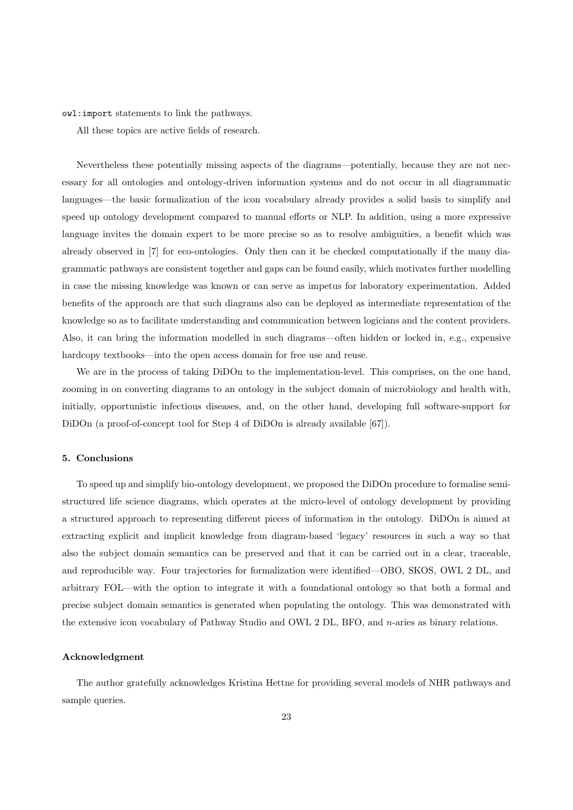#### owl:import statements to link the pathways.

All these topics are active fields of research.

Nevertheless these potentially missing aspects of the diagrams—potentially, because they are not necessary for all ontologies and ontology-driven information systems and do not occur in all diagrammatic languages—the basic formalization of the icon vocabulary already provides a solid basis to simplify and speed up ontology development compared to manual efforts or NLP. In addition, using a more expressive language invites the domain expert to be more precise so as to resolve ambiguities, a benefit which was already observed in [7] for eco-ontologies. Only then can it be checked computationally if the many diagrammatic pathways are consistent together and gaps can be found easily, which motivates further modelling in case the missing knowledge was known or can serve as impetus for laboratory experimentation. Added benefits of the approach are that such diagrams also can be deployed as intermediate representation of the knowledge so as to facilitate understanding and communication between logicians and the content providers. Also, it can bring the information modelled in such diagrams—often hidden or locked in, e.g., expensive hardcopy textbooks—into the open access domain for free use and reuse.

We are in the process of taking DiDOn to the implementation-level. This comprises, on the one hand, zooming in on converting diagrams to an ontology in the subject domain of microbiology and health with, initially, opportunistic infectious diseases, and, on the other hand, developing full software-support for DiDOn (a proof-of-concept tool for Step 4 of DiDOn is already available [67]).

#### 5. Conclusions

To speed up and simplify bio-ontology development, we proposed the DiDOn procedure to formalise semistructured life science diagrams, which operates at the micro-level of ontology development by providing a structured approach to representing different pieces of information in the ontology. DiDOn is aimed at extracting explicit and implicit knowledge from diagram-based 'legacy' resources in such a way so that also the subject domain semantics can be preserved and that it can be carried out in a clear, traceable, and reproducible way. Four trajectories for formalization were identified—OBO, SKOS, OWL 2 DL, and arbitrary FOL—with the option to integrate it with a foundational ontology so that both a formal and precise subject domain semantics is generated when populating the ontology. This was demonstrated with the extensive icon vocabulary of Pathway Studio and OWL 2 DL, BFO, and n-aries as binary relations.

# Acknowledgment

The author gratefully acknowledges Kristina Hettne for providing several models of NHR pathways and sample queries.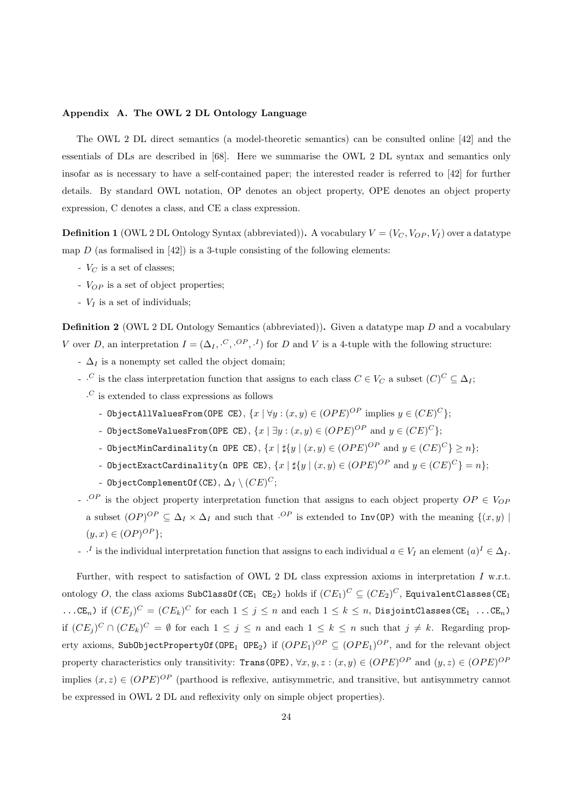#### Appendix A. The OWL 2 DL Ontology Language

The OWL 2 DL direct semantics (a model-theoretic semantics) can be consulted online [42] and the essentials of DLs are described in [68]. Here we summarise the OWL 2 DL syntax and semantics only insofar as is necessary to have a self-contained paper; the interested reader is referred to [42] for further details. By standard OWL notation, OP denotes an object property, OPE denotes an object property expression, C denotes a class, and CE a class expression.

**Definition 1** (OWL 2 DL Ontology Syntax (abbreviated)). A vocabulary  $V = (V_C, V_{OP}, V_I)$  over a datatype map  $D$  (as formalised in [42]) is a 3-tuple consisting of the following elements:

- $V_C$  is a set of classes;
- $-V_{OP}$  is a set of object properties;
- $-V_I$  is a set of individuals;

**Definition 2** (OWL 2 DL Ontology Semantics (abbreviated)). Given a datatype map D and a vocabulary V over D, an interpretation  $I = (\Delta_I, \cdot^C, \cdot^{OP}, \cdot^I)$  for D and V is a 4-tuple with the following structure:

- $\Delta_I$  is a nonempty set called the object domain;
- $\cdot$   $\cdot$   $\cdot$  is the class interpretation function that assigns to each class  $C \in V_C$  a subset  $(C)^C \subseteq \Delta_I$ ;
	- $\cdot^C$  is extended to class expressions as follows
		- ObjectAllValuesFrom(OPE CE), $\{x \mid \forall y: (x,y) \in (OPE)^{OP} \text{ implies } y \in (CE)^C\};$
		- ObjectSomeValuesFrom(OPE CE), $\{x \mid \exists y: (x,y) \in (OPE)^{OP} \text{ and } y \in (CE)^C\};$
		- ObjectMinCardinality(n OPE CE), $\{x \mid \sharp\{y \mid (x,y) \in (OPE)^{OP} \text{ and } y \in (CE)^C\} \geq n\};$
		- ObjectExactCardinality(n OPE CE), $\{x \mid \sharp\{y \mid (x,y) \in (OPE)^{OP} \text{ and } y \in (CE)^C\}=n\};$
		- ObjectComplementOf(CE),  $\Delta_I \setminus (CE)^C;$
- $\cdot$   $\cdot$  <sup>OP</sup> is the object property interpretation function that assigns to each object property  $OP \in V_{OF}$ a subset  $OP)^{OP} \subseteq \Delta_I \times \Delta_I$  and such that  $\cdot^{OP}$  is extended to Inv(OP) with the meaning  $\{(x, y) \mid$  $(y, x) \in (OP)^{OP}$ ;
- $\cdot$   $\cdot^{I}$  is the individual interpretation function that assigns to each individual  $a \in V_I$  an element  $(a)^{I} \in \Delta_I$ .

Further, with respect to satisfaction of OWL 2 DL class expression axioms in interpretation I w.r.t. ontology  $O,$  the class axioms  $\texttt{SubClassOf}(\texttt{CE}_1 \ \texttt{CE}_2)$  holds if  $(CE_1)^C \subseteq (CE_2)^C,$  EquivalentClasses(CE<sub>1</sub> ...CE<sub>n</sub>) if  $(CE_j)^C = (CE_k)^C$  for each  $1 \le j \le n$  and each  $1 \le k \le n$ , DisjointClasses(CE<sub>1</sub> ...CE<sub>n</sub>) if  $(CE_j)^C \cap (CE_k)^C = \emptyset$  for each  $1 \leq j \leq n$  and each  $1 \leq k \leq n$  such that  $j \neq k$ . Regarding property axioms, SubObjectPropertyOf(OPE<sub>1</sub> OPE<sub>2</sub>) if  $(OPE_1)^{OP} \subseteq (OPE_1)^{OP}$ , and for the relevant object property characteristics only transitivity: Trans(OPE),  $\forall x, y, z : (x, y) \in (OPE)^{OP}$  and  $(y, z) \in (OPE)^{OF}$ implies  $(x, z) \in (OPE)^{OP}$  (parthood is reflexive, antisymmetric, and transitive, but antisymmetry cannot be expressed in OWL 2 DL and reflexivity only on simple object properties).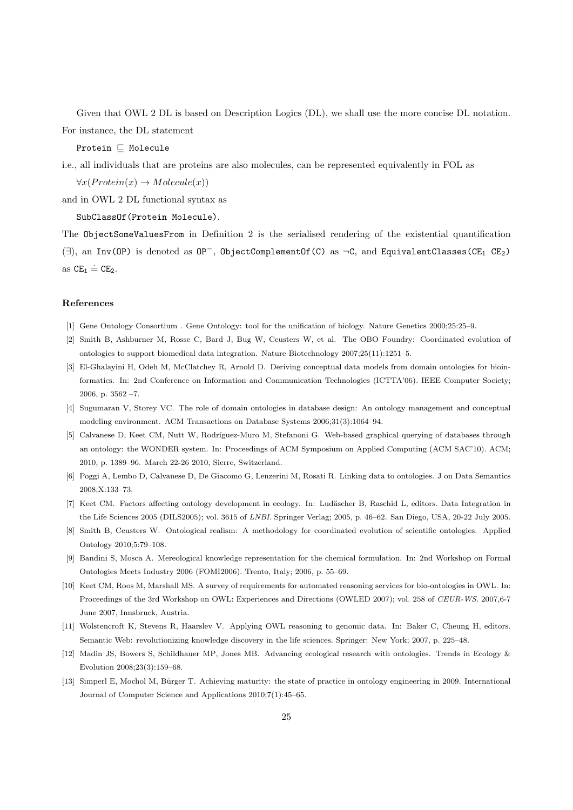Given that OWL 2 DL is based on Description Logics (DL), we shall use the more concise DL notation. For instance, the DL statement

#### Protein  $\Box$  Molecule

i.e., all individuals that are proteins are also molecules, can be represented equivalently in FOL as

 $\forall x (Protein(x) \rightarrow Molecule(x))$ 

and in OWL 2 DL functional syntax as

SubClassOf(Protein Molecule).

The ObjectSomeValuesFrom in Definition 2 is the serialised rendering of the existential quantification  $(\exists)$ , an Inv(OP) is denoted as OP<sup>-</sup>, ObjectComplementOf(C) as  $\neg$ C, and EquivalentClasses(CE<sub>1</sub> CE<sub>2</sub>) as  $CE_1 \doteq CE_2$ .

#### References

- [1] Gene Ontology Consortium . Gene Ontology: tool for the unification of biology. Nature Genetics 2000;25:25–9.
- [2] Smith B, Ashburner M, Rosse C, Bard J, Bug W, Ceusters W, et al. The OBO Foundry: Coordinated evolution of ontologies to support biomedical data integration. Nature Biotechnology 2007;25(11):1251–5.
- [3] El-Ghalayini H, Odeh M, McClatchey R, Arnold D. Deriving conceptual data models from domain ontologies for bioinformatics. In: 2nd Conference on Information and Communication Technologies (ICTTA'06). IEEE Computer Society; 2006, p. 3562 –7.
- [4] Sugumaran V, Storey VC. The role of domain ontologies in database design: An ontology management and conceptual modeling environment. ACM Transactions on Database Systems 2006;31(3):1064–94.
- [5] Calvanese D, Keet CM, Nutt W, Rodríguez-Muro M, Stefanoni G. Web-based graphical querying of databases through an ontology: the WONDER system. In: Proceedings of ACM Symposium on Applied Computing (ACM SAC'10). ACM; 2010, p. 1389–96. March 22-26 2010, Sierre, Switzerland.
- [6] Poggi A, Lembo D, Calvanese D, De Giacomo G, Lenzerini M, Rosati R. Linking data to ontologies. J on Data Semantics 2008;X:133–73.
- [7] Keet CM. Factors affecting ontology development in ecology. In: Ludäscher B, Raschid L, editors. Data Integration in the Life Sciences 2005 (DILS2005); vol. 3615 of LNBI. Springer Verlag; 2005, p. 46–62. San Diego, USA, 20-22 July 2005.
- [8] Smith B, Ceusters W. Ontological realism: A methodology for coordinated evolution of scientific ontologies. Applied Ontology 2010;5:79–108.
- [9] Bandini S, Mosca A. Mereological knowledge representation for the chemical formulation. In: 2nd Workshop on Formal Ontologies Meets Industry 2006 (FOMI2006). Trento, Italy; 2006, p. 55–69.
- [10] Keet CM, Roos M, Marshall MS. A survey of requirements for automated reasoning services for bio-ontologies in OWL. In: Proceedings of the 3rd Workshop on OWL: Experiences and Directions (OWLED 2007); vol. 258 of CEUR-WS. 2007,6-7 June 2007, Innsbruck, Austria.
- [11] Wolstencroft K, Stevens R, Haarslev V. Applying OWL reasoning to genomic data. In: Baker C, Cheung H, editors. Semantic Web: revolutionizing knowledge discovery in the life sciences. Springer: New York; 2007, p. 225–48.
- [12] Madin JS, Bowers S, Schildhauer MP, Jones MB. Advancing ecological research with ontologies. Trends in Ecology & Evolution 2008;23(3):159–68.
- [13] Simperl E, Mochol M, Bürger T. Achieving maturity: the state of practice in ontology engineering in 2009. International Journal of Computer Science and Applications 2010;7(1):45–65.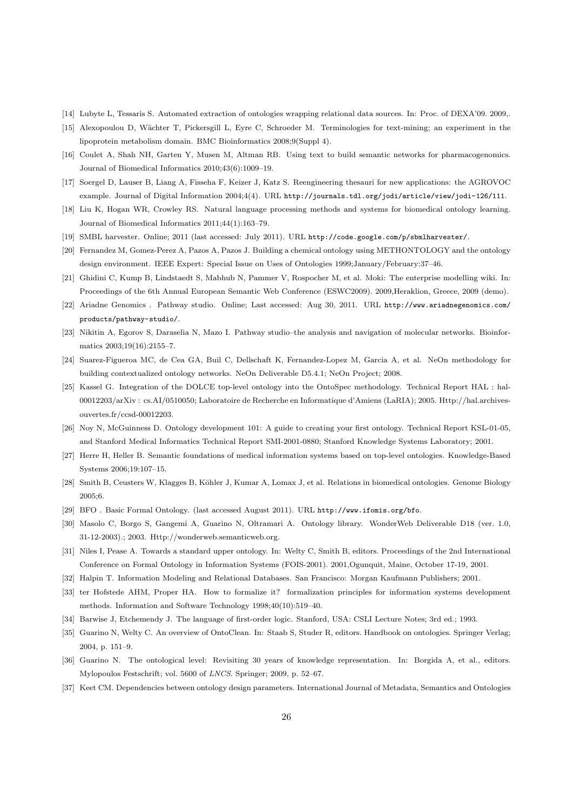- [14] Lubyte L, Tessaris S. Automated extraction of ontologies wrapping relational data sources. In: Proc. of DEXA'09. 2009,.
- [15] Alexopoulou D, Wächter T, Pickersgill L, Eyre C, Schroeder M. Terminologies for text-mining; an experiment in the lipoprotein metabolism domain. BMC Bioinformatics 2008;9(Suppl 4).
- [16] Coulet A, Shah NH, Garten Y, Musen M, Altman RB. Using text to build semantic networks for pharmacogenomics. Journal of Biomedical Informatics 2010;43(6):1009–19.
- [17] Soergel D, Lauser B, Liang A, Fisseha F, Keizer J, Katz S. Reengineering thesauri for new applications: the AGROVOC example. Journal of Digital Information 2004;4(4). URL http://journals.tdl.org/jodi/article/view/jodi-126/111.
- [18] Liu K, Hogan WR, Crowley RS. Natural language processing methods and systems for biomedical ontology learning. Journal of Biomedical Informatics 2011;44(1):163–79.
- [19] SMBL harvester. Online; 2011 (last accessed: July 2011). URL http://code.google.com/p/sbmlharvester/.
- [20] Fernandez M, Gomez-Perez A, Pazos A, Pazos J. Building a chemical ontology using METHONTOLOGY and the ontology design environment. IEEE Expert: Special Issue on Uses of Ontologies 1999;January/February:37–46.
- [21] Ghidini C, Kump B, Lindstaedt S, Mabhub N, Pammer V, Rospocher M, et al. Moki: The enterprise modelling wiki. In: Proceedings of the 6th Annual European Semantic Web Conference (ESWC2009). 2009,Heraklion, Greece, 2009 (demo).
- [22] Ariadne Genomics . Pathway studio. Online; Last accessed: Aug 30, 2011. URL http://www.ariadnegenomics.com/ products/pathway-studio/.
- [23] Nikitin A, Egorov S, Daraselia N, Mazo I. Pathway studio–the analysis and navigation of molecular networks. Bioinformatics 2003;19(16):2155–7.
- [24] Suarez-Figueroa MC, de Cea GA, Buil C, Dellschaft K, Fernandez-Lopez M, Garcia A, et al. NeOn methodology for building contextualized ontology networks. NeOn Deliverable D5.4.1; NeOn Project; 2008.
- [25] Kassel G. Integration of the DOLCE top-level ontology into the OntoSpec methodology. Technical Report HAL : hal-00012203/arXiv : cs.AI/0510050; Laboratoire de Recherche en Informatique d'Amiens (LaRIA); 2005. Http://hal.archivesouvertes.fr/ccsd-00012203.
- [26] Noy N, McGuinness D. Ontology development 101: A guide to creating your first ontology. Technical Report KSL-01-05, and Stanford Medical Informatics Technical Report SMI-2001-0880; Stanford Knowledge Systems Laboratory; 2001.
- [27] Herre H, Heller B. Semantic foundations of medical information systems based on top-level ontologies. Knowledge-Based Systems 2006;19:107–15.
- [28] Smith B, Ceusters W, Klagges B, Köhler J, Kumar A, Lomax J, et al. Relations in biomedical ontologies. Genome Biology 2005;6.
- [29] BFO . Basic Formal Ontology. (last accessed August 2011). URL http://www.ifomis.org/bfo.
- [30] Masolo C, Borgo S, Gangemi A, Guarino N, Oltramari A. Ontology library. WonderWeb Deliverable D18 (ver. 1.0, 31-12-2003).; 2003. Http://wonderweb.semanticweb.org.
- [31] Niles I, Pease A. Towards a standard upper ontology. In: Welty C, Smith B, editors. Proceedings of the 2nd International Conference on Formal Ontology in Information Systems (FOIS-2001). 2001,Ogunquit, Maine, October 17-19, 2001.
- [32] Halpin T. Information Modeling and Relational Databases. San Francisco: Morgan Kaufmann Publishers; 2001.
- [33] ter Hofstede AHM, Proper HA. How to formalize it? formalization principles for information systems development methods. Information and Software Technology 1998;40(10):519–40.
- [34] Barwise J, Etchemendy J. The language of first-order logic. Stanford, USA: CSLI Lecture Notes; 3rd ed.; 1993.
- [35] Guarino N, Welty C. An overview of OntoClean. In: Staab S, Studer R, editors. Handbook on ontologies. Springer Verlag; 2004, p. 151–9.
- [36] Guarino N. The ontological level: Revisiting 30 years of knowledge representation. In: Borgida A, et al., editors. Mylopoulos Festschrift; vol. 5600 of LNCS. Springer; 2009, p. 52–67.
- [37] Keet CM. Dependencies between ontology design parameters. International Journal of Metadata, Semantics and Ontologies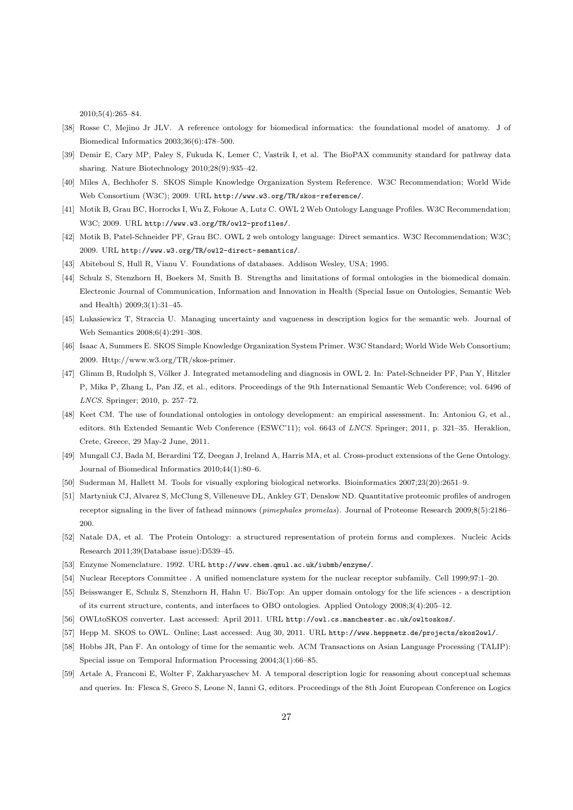2010;5(4):265–84.

- [38] Rosse C, Mejino Jr JLV. A reference ontology for biomedical informatics: the foundational model of anatomy. J of Biomedical Informatics 2003;36(6):478–500.
- [39] Demir E, Cary MP, Paley S, Fukuda K, Lemer C, Vastrik I, et al. The BioPAX community standard for pathway data sharing. Nature Biotechnology 2010;28(9):935–42.
- [40] Miles A, Bechhofer S. SKOS Simple Knowledge Organization System Reference. W3C Recommendation; World Wide Web Consortium (W3C); 2009. URL http://www.w3.org/TR/skos-reference/.
- [41] Motik B, Grau BC, Horrocks I, Wu Z, Fokoue A, Lutz C. OWL 2 Web Ontology Language Profiles. W3C Recommendation; W3C; 2009. URL http://www.w3.org/TR/owl2-profiles/.
- [42] Motik B, Patel-Schneider PF, Grau BC. OWL 2 web ontology language: Direct semantics. W3C Recommendation; W3C; 2009. URL http://www.w3.org/TR/owl2-direct-semantics/.
- [43] Abiteboul S, Hull R, Vianu V. Foundations of databases. Addison Wesley, USA; 1995.
- [44] Schulz S, Stenzhorn H, Boekers M, Smith B. Strengths and limitations of formal ontologies in the biomedical domain. Electronic Journal of Communication, Information and Innovation in Health (Special Issue on Ontologies, Semantic Web and Health) 2009;3(1):31–45.
- [45] Lukasiewicz T, Straccia U. Managing uncertainty and vagueness in description logics for the semantic web. Journal of Web Semantics 2008;6(4):291–308.
- [46] Isaac A, Summers E. SKOS Simple Knowledge Organization System Primer. W3C Standard; World Wide Web Consortium; 2009. Http://www.w3.org/TR/skos-primer.
- [47] Glimm B, Rudolph S, Völker J. Integrated metamodeling and diagnosis in OWL 2. In: Patel-Schneider PF, Pan Y, Hitzler P, Mika P, Zhang L, Pan JZ, et al., editors. Proceedings of the 9th International Semantic Web Conference; vol. 6496 of LNCS. Springer; 2010, p. 257–72.
- [48] Keet CM. The use of foundational ontologies in ontology development: an empirical assessment. In: Antoniou G, et al., editors. 8th Extended Semantic Web Conference (ESWC'11); vol. 6643 of LNCS. Springer; 2011, p. 321–35. Heraklion, Crete, Greece, 29 May-2 June, 2011.
- [49] Mungall CJ, Bada M, Berardini TZ, Deegan J, Ireland A, Harris MA, et al. Cross-product extensions of the Gene Ontology. Journal of Biomedical Informatics 2010;44(1):80–6.
- [50] Suderman M, Hallett M. Tools for visually exploring biological networks. Bioinformatics 2007;23(20):2651–9.
- [51] Martyniuk CJ, Alvarez S, McClung S, Villeneuve DL, Ankley GT, Denslow ND. Quantitative proteomic profiles of androgen receptor signaling in the liver of fathead minnows (pimephales promelas). Journal of Proteome Research 2009;8(5):2186– 200.
- [52] Natale DA, et al. The Protein Ontology: a structured representation of protein forms and complexes. Nucleic Acids Research 2011;39(Database issue):D539–45.
- [53] Enzyme Nomenclature. 1992. URL http://www.chem.qmul.ac.uk/iubmb/enzyme/.
- [54] Nuclear Receptors Committee . A unified nomenclature system for the nuclear receptor subfamily. Cell 1999;97:1–20.
- [55] Beisswanger E, Schulz S, Stenzhorn H, Hahn U. BioTop: An upper domain ontology for the life sciences a description of its current structure, contents, and interfaces to OBO ontologies. Applied Ontology 2008;3(4):205–12.
- [56] OWLtoSKOS converter. Last accessed: April 2011. URL http://owl.cs.manchester.ac.uk/owltoskos/.
- [57] Hepp M. SKOS to OWL. Online; Last accessed: Aug 30, 2011. URL http://www.heppnetz.de/projects/skos2owl/.
- [58] Hobbs JR, Pan F. An ontology of time for the semantic web. ACM Transactions on Asian Language Processing (TALIP): Special issue on Temporal Information Processing 2004;3(1):66–85.
- [59] Artale A, Franconi E, Wolter F, Zakharyaschev M. A temporal description logic for reasoning about conceptual schemas and queries. In: Flesca S, Greco S, Leone N, Ianni G, editors. Proceedings of the 8th Joint European Conference on Logics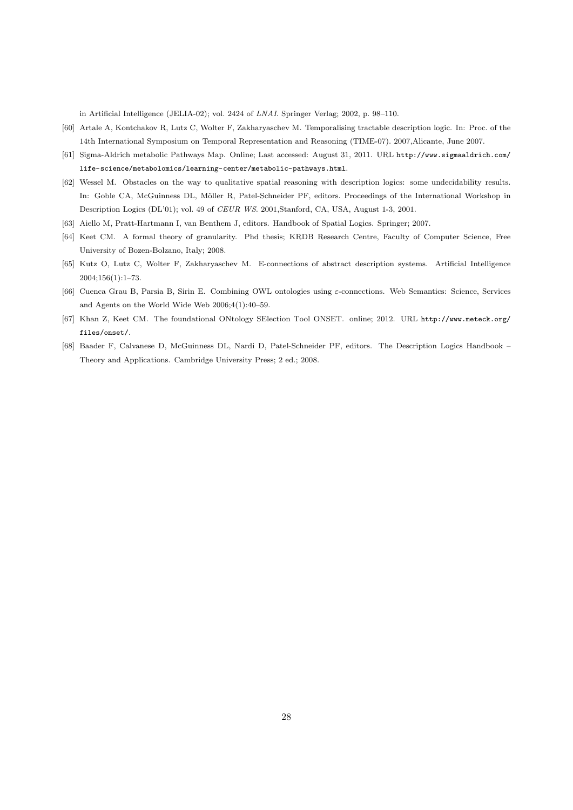in Artificial Intelligence (JELIA-02); vol. 2424 of LNAI. Springer Verlag; 2002, p. 98–110.

- [60] Artale A, Kontchakov R, Lutz C, Wolter F, Zakharyaschev M. Temporalising tractable description logic. In: Proc. of the 14th International Symposium on Temporal Representation and Reasoning (TIME-07). 2007,Alicante, June 2007.
- [61] Sigma-Aldrich metabolic Pathways Map. Online; Last accessed: August 31, 2011. URL http://www.sigmaaldrich.com/ life-science/metabolomics/learning-center/metabolic-pathways.html.
- [62] Wessel M. Obstacles on the way to qualitative spatial reasoning with description logics: some undecidability results. In: Goble CA, McGuinness DL, Möller R, Patel-Schneider PF, editors. Proceedings of the International Workshop in Description Logics (DL'01); vol. 49 of CEUR WS. 2001, Stanford, CA, USA, August 1-3, 2001.
- [63] Aiello M, Pratt-Hartmann I, van Benthem J, editors. Handbook of Spatial Logics. Springer; 2007.
- [64] Keet CM. A formal theory of granularity. Phd thesis; KRDB Research Centre, Faculty of Computer Science, Free University of Bozen-Bolzano, Italy; 2008.
- [65] Kutz O, Lutz C, Wolter F, Zakharyaschev M. E-connections of abstract description systems. Artificial Intelligence 2004;156(1):1–73.
- [66] Cuenca Grau B, Parsia B, Sirin E. Combining OWL ontologies using ε-connections. Web Semantics: Science, Services and Agents on the World Wide Web 2006;4(1):40–59.
- [67] Khan Z, Keet CM. The foundational ONtology SElection Tool ONSET. online; 2012. URL http://www.meteck.org/ files/onset/.
- [68] Baader F, Calvanese D, McGuinness DL, Nardi D, Patel-Schneider PF, editors. The Description Logics Handbook Theory and Applications. Cambridge University Press; 2 ed.; 2008.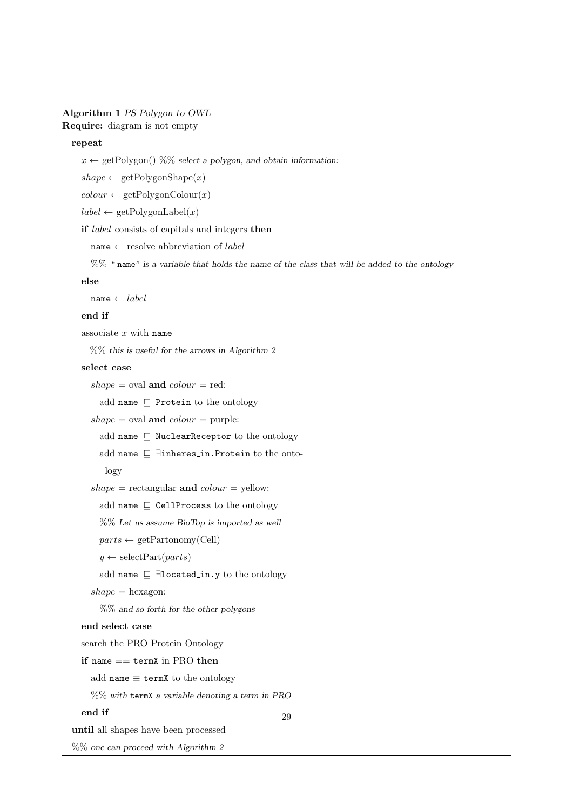# Algorithm 1 PS Polygon to OWL

Require: diagram is not empty

# repeat

 $x \leftarrow \text{getPolygon}()$  %% select a polygon, and obtain information:

 $shape \leftarrow \text{getPolygonShape}(x)$ 

 $colour \leftarrow \text{getPolygonColor}(x)$ 

 $label \leftarrow getPolygonLabel(x)$ 

if label consists of capitals and integers then

name  $\leftarrow$  resolve abbreviation of *label* 

%% " name" is a variable that holds the name of the class that will be added to the ontology

# else

 $name \leftarrow label$ 

#### end if

associate  $x$  with name

 $\%$ % this is useful for the arrows in Algorithm 2

# select case

 $shape = \text{oval} \textbf{ and } colour = \text{red}:$ 

add name  $\subseteq$  Protein to the ontology

shape  $=$  oval and  $colour =$  purple:

add name  $\subseteq$  NuclearReceptor to the ontology

```
add name \Box ∃inheres_in.Protein to the onto-
```

```
logy
```
 $shape = rectangular$  and  $colour = yellow$ :

```
add name \subseteq CellProcess to the ontology
```
%% Let us assume BioTop is imported as well

```
parts \leftarrow getPatonomy(Cell)
```

```
y \leftarrow \text{selectPart}(parts)
```
add name  $\subseteq \exists$ located\_in.y to the ontology

```
shape = hexagon:
```
%% and so forth for the other polygons

# end select case

search the PRO Protein Ontology

```
if name == termX in PRO then
```
add name  $\equiv$  termX to the ontology

%% with termX a variable denoting a term in PRO

# end if

29

until all shapes have been processed

%% one can proceed with Algorithm 2